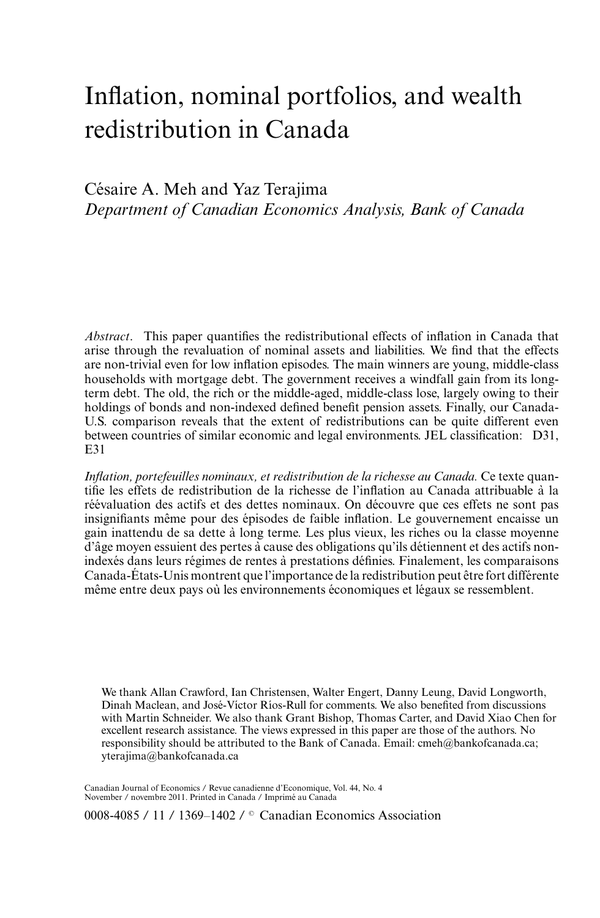# Inflation, nominal portfolios, and wealth redistribution in Canada

## Césaire A. Meh and Yaz Terajima *Department of Canadian Economics Analysis, Bank of Canada*

*Abstract*. This paper quantifies the redistributional effects of inflation in Canada that arise through the revaluation of nominal assets and liabilities. We find that the effects are non-trivial even for low inflation episodes. The main winners are young, middle-class households with mortgage debt. The government receives a windfall gain from its longterm debt. The old, the rich or the middle-aged, middle-class lose, largely owing to their holdings of bonds and non-indexed defined benefit pension assets. Finally, our Canada-U.S. comparison reveals that the extent of redistributions can be quite different even between countries of similar economic and legal environments. JEL classification: D31, E31

*Inflation, portefeuilles nominaux, et redistribution de la richesse au Canada.* Ce texte quantifie les effets de redistribution de la richesse de l'inflation au Canada attribuable a la ` réévaluation des actifs et des dettes nominaux. On découvre que ces effets ne sont pas insignifiants même pour des épisodes de faible inflation. Le gouvernement encaisse un gain inattendu de sa dette a long terme. Les plus vieux, les riches ou la classe moyenne ` d'âge moyen essuient des pertes à cause des obligations qu'ils détiennent et des actifs nonindexés dans leurs régimes de rentes à prestations définies. Finalement, les comparaisons Canada-États-Unis montrent que l'importance de la redistribution peut être fort différente même entre deux pays où les environnements économiques et légaux se ressemblent.

We thank Allan Crawford, Ian Christensen, Walter Engert, Danny Leung, David Longworth, Dinah Maclean, and José-Víctor Ríos-Rull for comments. We also benefited from discussions with Martin Schneider. We also thank Grant Bishop, Thomas Carter, and David Xiao Chen for excellent research assistance. The views expressed in this paper are those of the authors. No responsibility should be attributed to the Bank of Canada. Email: cmeh@bankofcanada.ca; yterajima@bankofcanada.ca

Canadian Journal of Economics / Revue canadienne d'Economique, Vol. 44, No. 4 November / novembre 2011. Printed in Canada / Imprime au Canada ´

0008-4085 / 11 / 1369–1402 / © Canadian Economics Association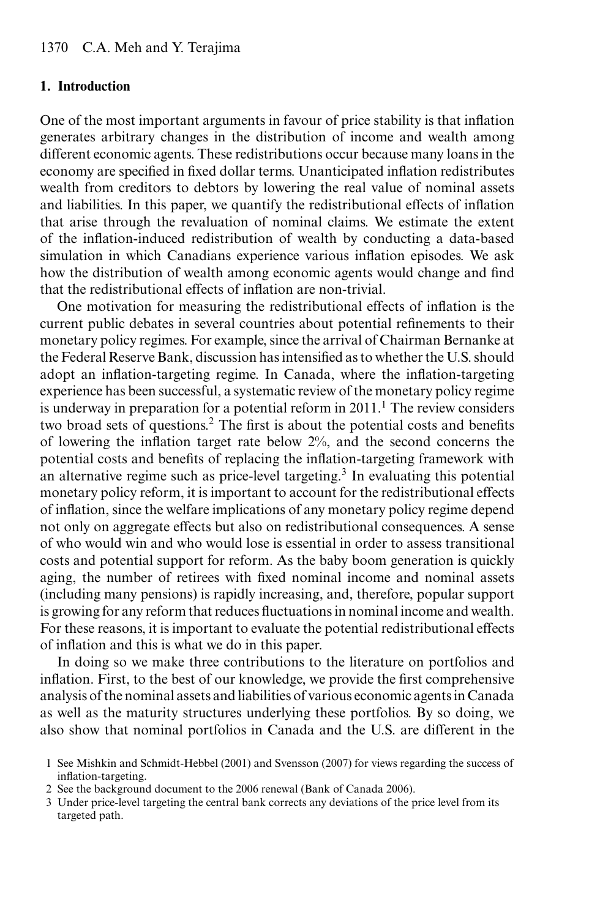#### **1. Introduction**

One of the most important arguments in favour of price stability is that inflation generates arbitrary changes in the distribution of income and wealth among different economic agents. These redistributions occur because many loans in the economy are specified in fixed dollar terms. Unanticipated inflation redistributes wealth from creditors to debtors by lowering the real value of nominal assets and liabilities. In this paper, we quantify the redistributional effects of inflation that arise through the revaluation of nominal claims. We estimate the extent of the inflation-induced redistribution of wealth by conducting a data-based simulation in which Canadians experience various inflation episodes. We ask how the distribution of wealth among economic agents would change and find that the redistributional effects of inflation are non-trivial.

One motivation for measuring the redistributional effects of inflation is the current public debates in several countries about potential refinements to their monetary policy regimes. For example, since the arrival of Chairman Bernanke at the Federal Reserve Bank, discussion has intensified as to whether the U.S. should adopt an inflation-targeting regime. In Canada, where the inflation-targeting experience has been successful, a systematic review of the monetary policy regime is underway in preparation for a potential reform in 2011.<sup>1</sup> The review considers two broad sets of questions.<sup>2</sup> The first is about the potential costs and benefits of lowering the inflation target rate below 2%, and the second concerns the potential costs and benefits of replacing the inflation-targeting framework with an alternative regime such as price-level targeting.<sup>3</sup> In evaluating this potential monetary policy reform, it is important to account for the redistributional effects of inflation, since the welfare implications of any monetary policy regime depend not only on aggregate effects but also on redistributional consequences. A sense of who would win and who would lose is essential in order to assess transitional costs and potential support for reform. As the baby boom generation is quickly aging, the number of retirees with fixed nominal income and nominal assets (including many pensions) is rapidly increasing, and, therefore, popular support is growing for any reform that reduces fluctuations in nominal income and wealth. For these reasons, it is important to evaluate the potential redistributional effects of inflation and this is what we do in this paper.

In doing so we make three contributions to the literature on portfolios and inflation. First, to the best of our knowledge, we provide the first comprehensive analysis of the nominal assets and liabilities of various economic agents in Canada as well as the maturity structures underlying these portfolios. By so doing, we also show that nominal portfolios in Canada and the U.S. are different in the

- 2 See the background document to the 2006 renewal (Bank of Canada 2006).
- 3 Under price-level targeting the central bank corrects any deviations of the price level from its targeted path.

<sup>1</sup> See Mishkin and Schmidt-Hebbel (2001) and Svensson (2007) for views regarding the success of inflation-targeting.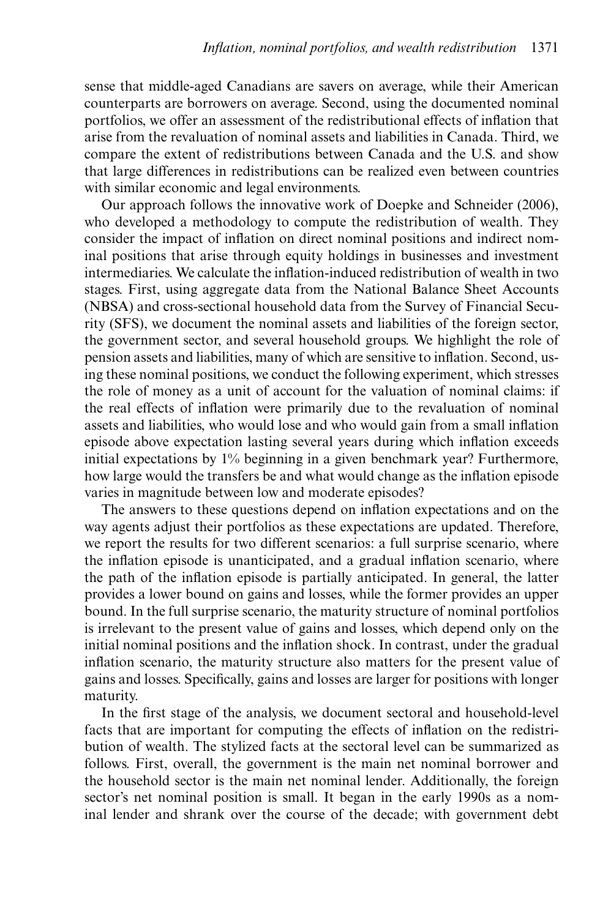sense that middle-aged Canadians are savers on average, while their American counterparts are borrowers on average. Second, using the documented nominal portfolios, we offer an assessment of the redistributional effects of inflation that arise from the revaluation of nominal assets and liabilities in Canada. Third, we compare the extent of redistributions between Canada and the U.S. and show that large differences in redistributions can be realized even between countries with similar economic and legal environments.

Our approach follows the innovative work of Doepke and Schneider (2006), who developed a methodology to compute the redistribution of wealth. They consider the impact of inflation on direct nominal positions and indirect nominal positions that arise through equity holdings in businesses and investment intermediaries. We calculate the inflation-induced redistribution of wealth in two stages. First, using aggregate data from the National Balance Sheet Accounts (NBSA) and cross-sectional household data from the Survey of Financial Security (SFS), we document the nominal assets and liabilities of the foreign sector, the government sector, and several household groups. We highlight the role of pension assets and liabilities, many of which are sensitive to inflation. Second, using these nominal positions, we conduct the following experiment, which stresses the role of money as a unit of account for the valuation of nominal claims: if the real effects of inflation were primarily due to the revaluation of nominal assets and liabilities, who would lose and who would gain from a small inflation episode above expectation lasting several years during which inflation exceeds initial expectations by 1% beginning in a given benchmark year? Furthermore, how large would the transfers be and what would change as the inflation episode varies in magnitude between low and moderate episodes?

The answers to these questions depend on inflation expectations and on the way agents adjust their portfolios as these expectations are updated. Therefore, we report the results for two different scenarios: a full surprise scenario, where the inflation episode is unanticipated, and a gradual inflation scenario, where the path of the inflation episode is partially anticipated. In general, the latter provides a lower bound on gains and losses, while the former provides an upper bound. In the full surprise scenario, the maturity structure of nominal portfolios is irrelevant to the present value of gains and losses, which depend only on the initial nominal positions and the inflation shock. In contrast, under the gradual inflation scenario, the maturity structure also matters for the present value of gains and losses. Specifically, gains and losses are larger for positions with longer maturity.

In the first stage of the analysis, we document sectoral and household-level facts that are important for computing the effects of inflation on the redistribution of wealth. The stylized facts at the sectoral level can be summarized as follows. First, overall, the government is the main net nominal borrower and the household sector is the main net nominal lender. Additionally, the foreign sector's net nominal position is small. It began in the early 1990s as a nominal lender and shrank over the course of the decade; with government debt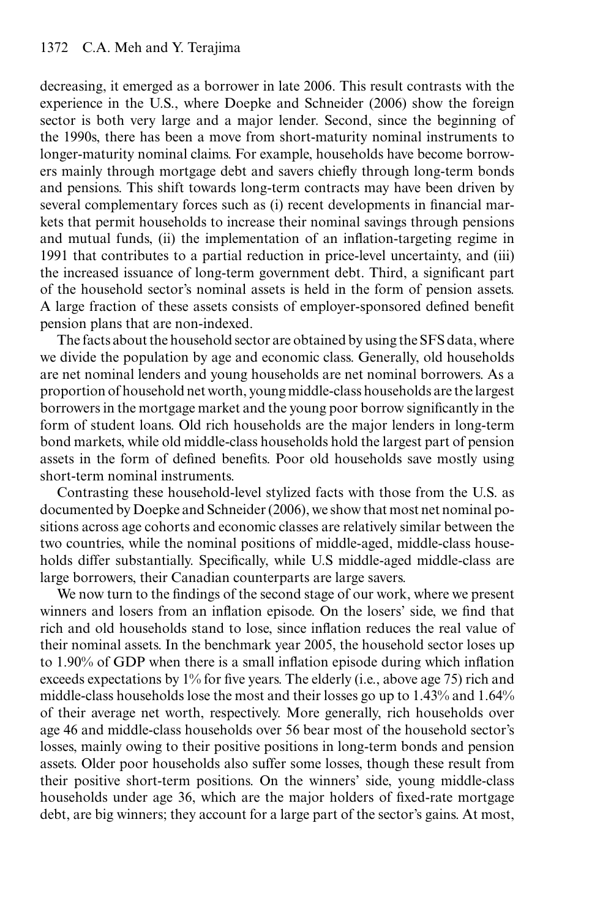decreasing, it emerged as a borrower in late 2006. This result contrasts with the experience in the U.S., where Doepke and Schneider (2006) show the foreign sector is both very large and a major lender. Second, since the beginning of the 1990s, there has been a move from short-maturity nominal instruments to longer-maturity nominal claims. For example, households have become borrowers mainly through mortgage debt and savers chiefly through long-term bonds and pensions. This shift towards long-term contracts may have been driven by several complementary forces such as (i) recent developments in financial markets that permit households to increase their nominal savings through pensions and mutual funds, (ii) the implementation of an inflation-targeting regime in 1991 that contributes to a partial reduction in price-level uncertainty, and (iii) the increased issuance of long-term government debt. Third, a significant part of the household sector's nominal assets is held in the form of pension assets. A large fraction of these assets consists of employer-sponsored defined benefit pension plans that are non-indexed.

The facts about the household sector are obtained by using the SFS data, where we divide the population by age and economic class. Generally, old households are net nominal lenders and young households are net nominal borrowers. As a proportion of household net worth, young middle-class households are the largest borrowers in the mortgage market and the young poor borrow significantly in the form of student loans. Old rich households are the major lenders in long-term bond markets, while old middle-class households hold the largest part of pension assets in the form of defined benefits. Poor old households save mostly using short-term nominal instruments.

Contrasting these household-level stylized facts with those from the U.S. as documented by Doepke and Schneider (2006), we show that most net nominal positions across age cohorts and economic classes are relatively similar between the two countries, while the nominal positions of middle-aged, middle-class households differ substantially. Specifically, while U.S middle-aged middle-class are large borrowers, their Canadian counterparts are large savers.

We now turn to the findings of the second stage of our work, where we present winners and losers from an inflation episode. On the losers' side, we find that rich and old households stand to lose, since inflation reduces the real value of their nominal assets. In the benchmark year 2005, the household sector loses up to 1.90% of GDP when there is a small inflation episode during which inflation exceeds expectations by 1% for five years. The elderly (i.e., above age 75) rich and middle-class households lose the most and their losses go up to 1.43% and 1.64% of their average net worth, respectively. More generally, rich households over age 46 and middle-class households over 56 bear most of the household sector's losses, mainly owing to their positive positions in long-term bonds and pension assets. Older poor households also suffer some losses, though these result from their positive short-term positions. On the winners' side, young middle-class households under age 36, which are the major holders of fixed-rate mortgage debt, are big winners; they account for a large part of the sector's gains. At most,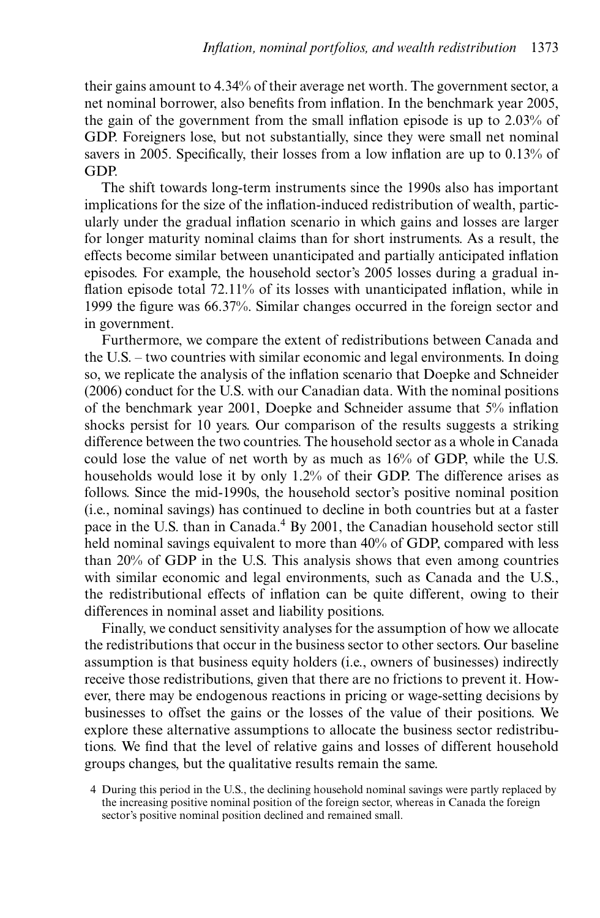their gains amount to 4.34% of their average net worth. The government sector, a net nominal borrower, also benefits from inflation. In the benchmark year 2005, the gain of the government from the small inflation episode is up to 2.03% of GDP. Foreigners lose, but not substantially, since they were small net nominal savers in 2005. Specifically, their losses from a low inflation are up to 0.13% of GDP.

The shift towards long-term instruments since the 1990s also has important implications for the size of the inflation-induced redistribution of wealth, particularly under the gradual inflation scenario in which gains and losses are larger for longer maturity nominal claims than for short instruments. As a result, the effects become similar between unanticipated and partially anticipated inflation episodes. For example, the household sector's 2005 losses during a gradual inflation episode total 72.11% of its losses with unanticipated inflation, while in 1999 the figure was 66.37%. Similar changes occurred in the foreign sector and in government.

Furthermore, we compare the extent of redistributions between Canada and the U.S. – two countries with similar economic and legal environments. In doing so, we replicate the analysis of the inflation scenario that Doepke and Schneider (2006) conduct for the U.S. with our Canadian data. With the nominal positions of the benchmark year 2001, Doepke and Schneider assume that 5% inflation shocks persist for 10 years. Our comparison of the results suggests a striking difference between the two countries. The household sector as a whole in Canada could lose the value of net worth by as much as 16% of GDP, while the U.S. households would lose it by only 1.2% of their GDP. The difference arises as follows. Since the mid-1990s, the household sector's positive nominal position (i.e., nominal savings) has continued to decline in both countries but at a faster pace in the U.S. than in Canada.4 By 2001, the Canadian household sector still held nominal savings equivalent to more than 40% of GDP, compared with less than 20% of GDP in the U.S. This analysis shows that even among countries with similar economic and legal environments, such as Canada and the U.S., the redistributional effects of inflation can be quite different, owing to their differences in nominal asset and liability positions.

Finally, we conduct sensitivity analyses for the assumption of how we allocate the redistributions that occur in the business sector to other sectors. Our baseline assumption is that business equity holders (i.e., owners of businesses) indirectly receive those redistributions, given that there are no frictions to prevent it. However, there may be endogenous reactions in pricing or wage-setting decisions by businesses to offset the gains or the losses of the value of their positions. We explore these alternative assumptions to allocate the business sector redistributions. We find that the level of relative gains and losses of different household groups changes, but the qualitative results remain the same.

<sup>4</sup> During this period in the U.S., the declining household nominal savings were partly replaced by the increasing positive nominal position of the foreign sector, whereas in Canada the foreign sector's positive nominal position declined and remained small.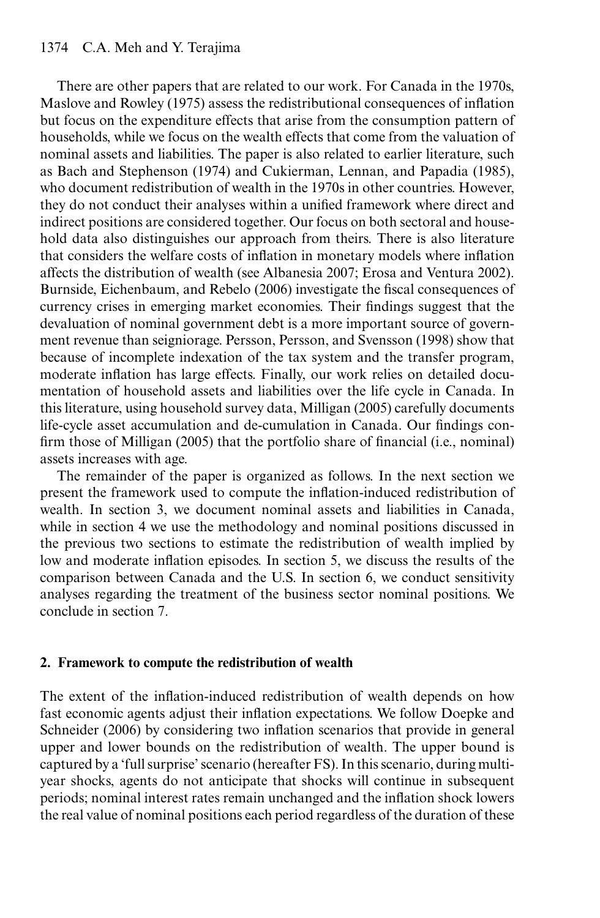There are other papers that are related to our work. For Canada in the 1970s, Maslove and Rowley (1975) assess the redistributional consequences of inflation but focus on the expenditure effects that arise from the consumption pattern of households, while we focus on the wealth effects that come from the valuation of nominal assets and liabilities. The paper is also related to earlier literature, such as Bach and Stephenson (1974) and Cukierman, Lennan, and Papadia (1985), who document redistribution of wealth in the 1970s in other countries. However, they do not conduct their analyses within a unified framework where direct and indirect positions are considered together. Our focus on both sectoral and household data also distinguishes our approach from theirs. There is also literature that considers the welfare costs of inflation in monetary models where inflation affects the distribution of wealth (see Albanesia 2007; Erosa and Ventura 2002). Burnside, Eichenbaum, and Rebelo (2006) investigate the fiscal consequences of currency crises in emerging market economies. Their findings suggest that the devaluation of nominal government debt is a more important source of government revenue than seigniorage. Persson, Persson, and Svensson (1998) show that because of incomplete indexation of the tax system and the transfer program, moderate inflation has large effects. Finally, our work relies on detailed documentation of household assets and liabilities over the life cycle in Canada. In this literature, using household survey data, Milligan (2005) carefully documents life-cycle asset accumulation and de-cumulation in Canada. Our findings confirm those of Milligan (2005) that the portfolio share of financial (i.e., nominal) assets increases with age.

The remainder of the paper is organized as follows. In the next section we present the framework used to compute the inflation-induced redistribution of wealth. In section 3, we document nominal assets and liabilities in Canada, while in section 4 we use the methodology and nominal positions discussed in the previous two sections to estimate the redistribution of wealth implied by low and moderate inflation episodes. In section 5, we discuss the results of the comparison between Canada and the U.S. In section 6, we conduct sensitivity analyses regarding the treatment of the business sector nominal positions. We conclude in section 7.

#### **2. Framework to compute the redistribution of wealth**

The extent of the inflation-induced redistribution of wealth depends on how fast economic agents adjust their inflation expectations. We follow Doepke and Schneider (2006) by considering two inflation scenarios that provide in general upper and lower bounds on the redistribution of wealth. The upper bound is captured by a 'full surprise' scenario (hereafter FS). In this scenario, during multiyear shocks, agents do not anticipate that shocks will continue in subsequent periods; nominal interest rates remain unchanged and the inflation shock lowers the real value of nominal positions each period regardless of the duration of these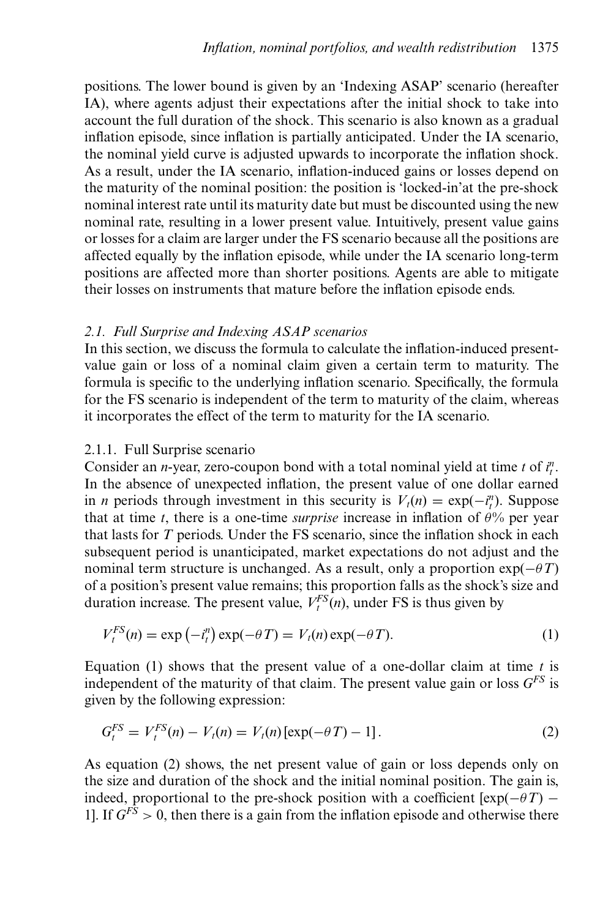positions. The lower bound is given by an 'Indexing ASAP' scenario (hereafter IA), where agents adjust their expectations after the initial shock to take into account the full duration of the shock. This scenario is also known as a gradual inflation episode, since inflation is partially anticipated. Under the IA scenario, the nominal yield curve is adjusted upwards to incorporate the inflation shock. As a result, under the IA scenario, inflation-induced gains or losses depend on the maturity of the nominal position: the position is 'locked-in'at the pre-shock nominal interest rate until its maturity date but must be discounted using the new nominal rate, resulting in a lower present value. Intuitively, present value gains or losses for a claim are larger under the FS scenario because all the positions are affected equally by the inflation episode, while under the IA scenario long-term positions are affected more than shorter positions. Agents are able to mitigate their losses on instruments that mature before the inflation episode ends.

## *2.1. Full Surprise and Indexing ASAP scenarios*

In this section, we discuss the formula to calculate the inflation-induced presentvalue gain or loss of a nominal claim given a certain term to maturity. The formula is specific to the underlying inflation scenario. Specifically, the formula for the FS scenario is independent of the term to maturity of the claim, whereas it incorporates the effect of the term to maturity for the IA scenario.

## 2.1.1. Full Surprise scenario

Consider an *n*-year, zero-coupon bond with a total nominal yield at time *t* of  $i_t^n$ . In the absence of unexpected inflation, the present value of one dollar earned in *n* periods through investment in this security is  $V_t(n) = \exp(-t_t^n)$ . Suppose that at time *t*, there is a one-time *surprise* increase in inflation of  $\theta$ % per year that lasts for *T* periods. Under the FS scenario, since the inflation shock in each subsequent period is unanticipated, market expectations do not adjust and the nominal term structure is unchanged. As a result, only a proportion  $exp(-\theta T)$ of a position's present value remains; this proportion falls as the shock's size and duration increase. The present value,  $V_t^{FS}(n)$ , under FS is thus given by

$$
V_t^{FS}(n) = \exp(-i_1^n) \exp(-\theta T) = V_t(n) \exp(-\theta T). \tag{1}
$$

Equation (1) shows that the present value of a one-dollar claim at time *t* is independent of the maturity of that claim. The present value gain or loss *GFS* is given by the following expression:

$$
G_t^{FS} = V_t^{FS}(n) - V_t(n) = V_t(n) \left[ \exp(-\theta T) - 1 \right]. \tag{2}
$$

As equation (2) shows, the net present value of gain or loss depends only on the size and duration of the shock and the initial nominal position. The gain is, indeed, proportional to the pre-shock position with a coefficient  $[\exp(-\theta T) -$ 1]. If  $G<sup>FS</sup> > 0$ , then there is a gain from the inflation episode and otherwise there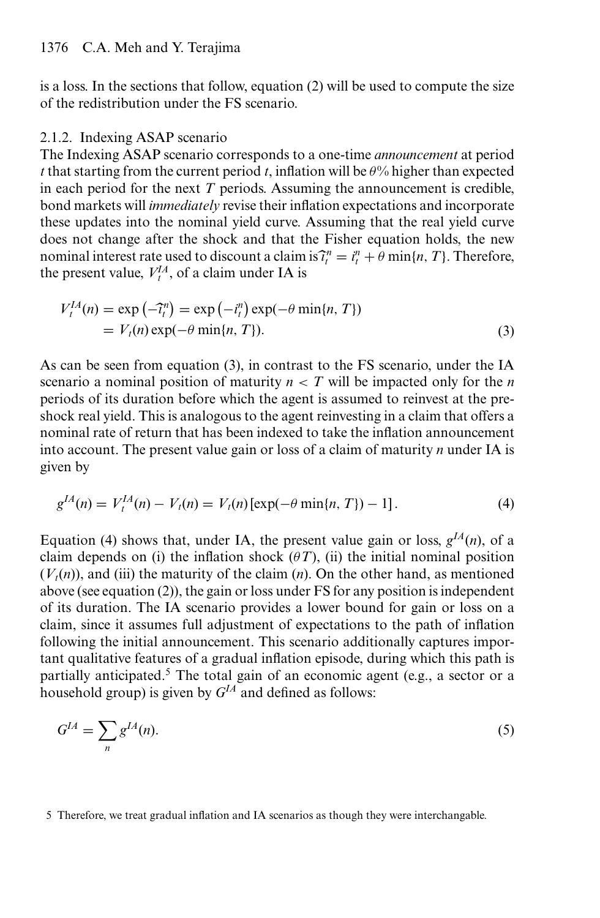is a loss. In the sections that follow, equation (2) will be used to compute the size of the redistribution under the FS scenario.

## 2.1.2. Indexing ASAP scenario

The Indexing ASAP scenario corresponds to a one-time *announcement* at period *t* that starting from the current period *t*, inflation will be  $\theta\%$  higher than expected in each period for the next *T* periods. Assuming the announcement is credible, bond markets will *immediately* revise their inflation expectations and incorporate these updates into the nominal yield curve. Assuming that the real yield curve does not change after the shock and that the Fisher equation holds, the new nominal interest rate used to discount a claim is  $\hat{\tau}_t^n = i_t^n + \theta \min\{n, T\}$ . Therefore, the present value,  $V_t^{IA}$ , of a claim under IA is

$$
V_t^{IA}(n) = \exp\left(-\hat{\iota}_t^n\right) = \exp\left(-i_t^n\right) \exp(-\theta \min\{n, T\})
$$
  
=  $V_t(n) \exp(-\theta \min\{n, T\}).$  (3)

As can be seen from equation (3), in contrast to the FS scenario, under the IA scenario a nominal position of maturity  $n < T$  will be impacted only for the *n* periods of its duration before which the agent is assumed to reinvest at the preshock real yield. This is analogous to the agent reinvesting in a claim that offers a nominal rate of return that has been indexed to take the inflation announcement into account. The present value gain or loss of a claim of maturity *n* under IA is given by

$$
g^{IA}(n) = V_t^{IA}(n) - V_t(n) = V_t(n) \left[ \exp(-\theta \min\{n, T\}) - 1 \right]. \tag{4}
$$

Equation (4) shows that, under IA, the present value gain or loss,  $g^{IA}(n)$ , of a claim depends on (i) the inflation shock  $(\theta T)$ , (ii) the initial nominal position  $(V<sub>t</sub>(n))$ , and (iii) the maturity of the claim  $(n)$ . On the other hand, as mentioned above (see equation (2)), the gain or loss under FS for any position is independent of its duration. The IA scenario provides a lower bound for gain or loss on a claim, since it assumes full adjustment of expectations to the path of inflation following the initial announcement. This scenario additionally captures important qualitative features of a gradual inflation episode, during which this path is partially anticipated.<sup>5</sup> The total gain of an economic agent (e.g., a sector or a household group) is given by *GIA* and defined as follows:

$$
G^{IA} = \sum_{n} g^{IA}(n). \tag{5}
$$

<sup>5</sup> Therefore, we treat gradual inflation and IA scenarios as though they were interchangable.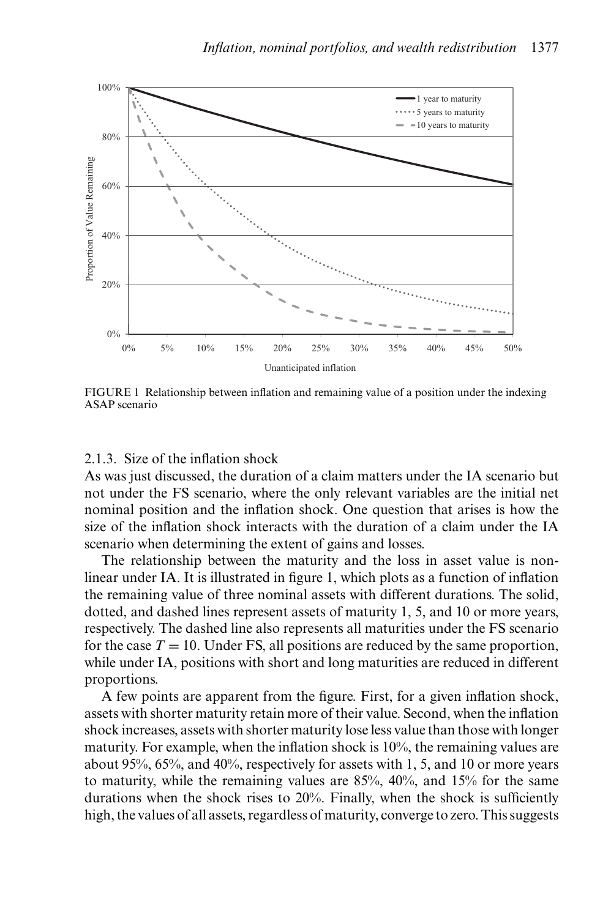

FIGURE 1 Relationship between inflation and remaining value of a position under the indexing ASAP scenario

#### 2.1.3. Size of the inflation shock

As was just discussed, the duration of a claim matters under the IA scenario but not under the FS scenario, where the only relevant variables are the initial net nominal position and the inflation shock. One question that arises is how the size of the inflation shock interacts with the duration of a claim under the IA scenario when determining the extent of gains and losses.

The relationship between the maturity and the loss in asset value is nonlinear under IA. It is illustrated in figure 1, which plots as a function of inflation the remaining value of three nominal assets with different durations. The solid, dotted, and dashed lines represent assets of maturity 1, 5, and 10 or more years, respectively. The dashed line also represents all maturities under the FS scenario for the case  $T = 10$ . Under FS, all positions are reduced by the same proportion, while under IA, positions with short and long maturities are reduced in different proportions.

A few points are apparent from the figure. First, for a given inflation shock, assets with shorter maturity retain more of their value. Second, when the inflation shock increases, assets with shorter maturity lose less value than those with longer maturity. For example, when the inflation shock is 10%, the remaining values are about 95%, 65%, and 40%, respectively for assets with 1, 5, and 10 or more years to maturity, while the remaining values are 85%, 40%, and 15% for the same durations when the shock rises to 20%. Finally, when the shock is sufficiently high, the values of all assets, regardless of maturity, converge to zero. This suggests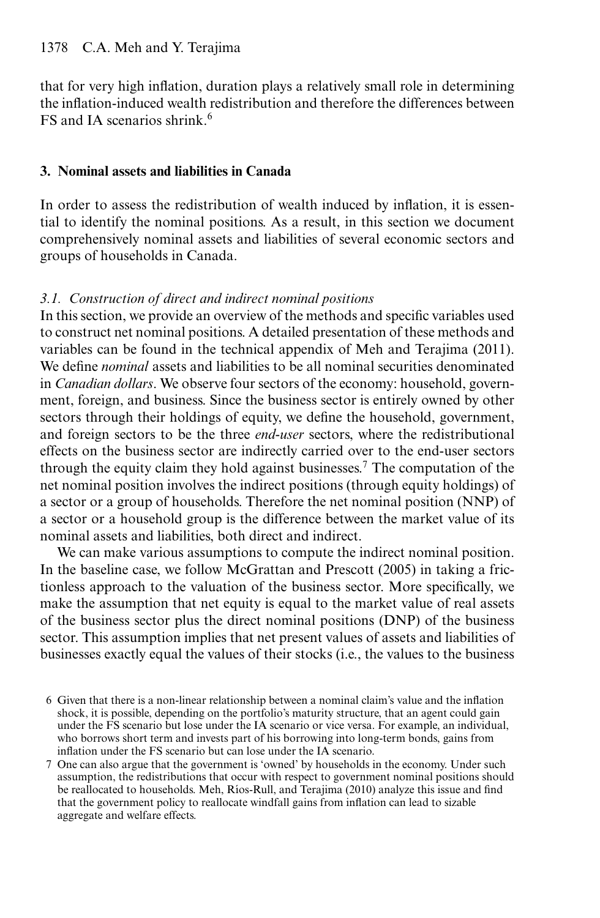that for very high inflation, duration plays a relatively small role in determining the inflation-induced wealth redistribution and therefore the differences between FS and IA scenarios shrink.<sup>6</sup>

## **3. Nominal assets and liabilities in Canada**

In order to assess the redistribution of wealth induced by inflation, it is essential to identify the nominal positions. As a result, in this section we document comprehensively nominal assets and liabilities of several economic sectors and groups of households in Canada.

## *3.1. Construction of direct and indirect nominal positions*

In this section, we provide an overview of the methods and specific variables used to construct net nominal positions. A detailed presentation of these methods and variables can be found in the technical appendix of Meh and Terajima (2011). We define *nominal* assets and liabilities to be all nominal securities denominated in *Canadian dollars*. We observe four sectors of the economy: household, government, foreign, and business. Since the business sector is entirely owned by other sectors through their holdings of equity, we define the household, government, and foreign sectors to be the three *end-user* sectors, where the redistributional effects on the business sector are indirectly carried over to the end-user sectors through the equity claim they hold against businesses.7 The computation of the net nominal position involves the indirect positions (through equity holdings) of a sector or a group of households. Therefore the net nominal position (NNP) of a sector or a household group is the difference between the market value of its nominal assets and liabilities, both direct and indirect.

We can make various assumptions to compute the indirect nominal position. In the baseline case, we follow McGrattan and Prescott (2005) in taking a frictionless approach to the valuation of the business sector. More specifically, we make the assumption that net equity is equal to the market value of real assets of the business sector plus the direct nominal positions (DNP) of the business sector. This assumption implies that net present values of assets and liabilities of businesses exactly equal the values of their stocks (i.e., the values to the business

<sup>6</sup> Given that there is a non-linear relationship between a nominal claim's value and the inflation shock, it is possible, depending on the portfolio's maturity structure, that an agent could gain under the FS scenario but lose under the IA scenario or vice versa. For example, an individual, who borrows short term and invests part of his borrowing into long-term bonds, gains from inflation under the FS scenario but can lose under the IA scenario.

<sup>7</sup> One can also argue that the government is 'owned' by households in the economy. Under such assumption, the redistributions that occur with respect to government nominal positions should be reallocated to households. Meh, Ríos-Rull, and Terajima (2010) analyze this issue and find that the government policy to reallocate windfall gains from inflation can lead to sizable aggregate and welfare effects.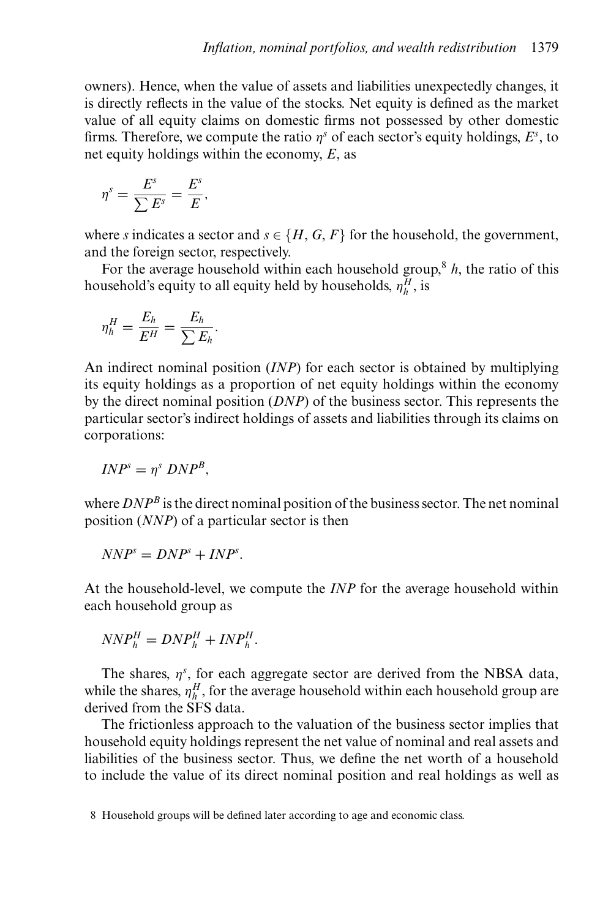owners). Hence, when the value of assets and liabilities unexpectedly changes, it is directly reflects in the value of the stocks. Net equity is defined as the market value of all equity claims on domestic firms not possessed by other domestic firms. Therefore, we compute the ratio  $\eta^s$  of each sector's equity holdings,  $E^s$ , to net equity holdings within the economy, *E*, as

$$
\eta^s = \frac{E^s}{\sum E^s} = \frac{E^s}{E},
$$

where *s* indicates a sector and  $s \in \{H, G, F\}$  for the household, the government, and the foreign sector, respectively.

For the average household within each household group,<sup>8</sup>  $h$ , the ratio of this household's equity to all equity held by households,  $\eta_h^H$ , is

$$
\eta_h^H = \frac{E_h}{E^H} = \frac{E_h}{\sum E_h}.
$$

An indirect nominal position (*INP*) for each sector is obtained by multiplying its equity holdings as a proportion of net equity holdings within the economy by the direct nominal position (*DNP*) of the business sector. This represents the particular sector's indirect holdings of assets and liabilities through its claims on corporations:

$$
INP^s = \eta^s \, DNP^B,
$$

where  $DNP^B$  is the direct nominal position of the business sector. The net nominal position (*NNP*) of a particular sector is then

$$
NNP^s = DNP^s + INP^s.
$$

At the household-level, we compute the *INP* for the average household within each household group as

$$
NNP_h^H = DNP_h^H + INP_h^H.
$$

The shares,  $\eta^s$ , for each aggregate sector are derived from the NBSA data, while the shares,  $\eta_h^H$ , for the average household within each household group are derived from the SFS data.

The frictionless approach to the valuation of the business sector implies that household equity holdings represent the net value of nominal and real assets and liabilities of the business sector. Thus, we define the net worth of a household to include the value of its direct nominal position and real holdings as well as

<sup>8</sup> Household groups will be defined later according to age and economic class.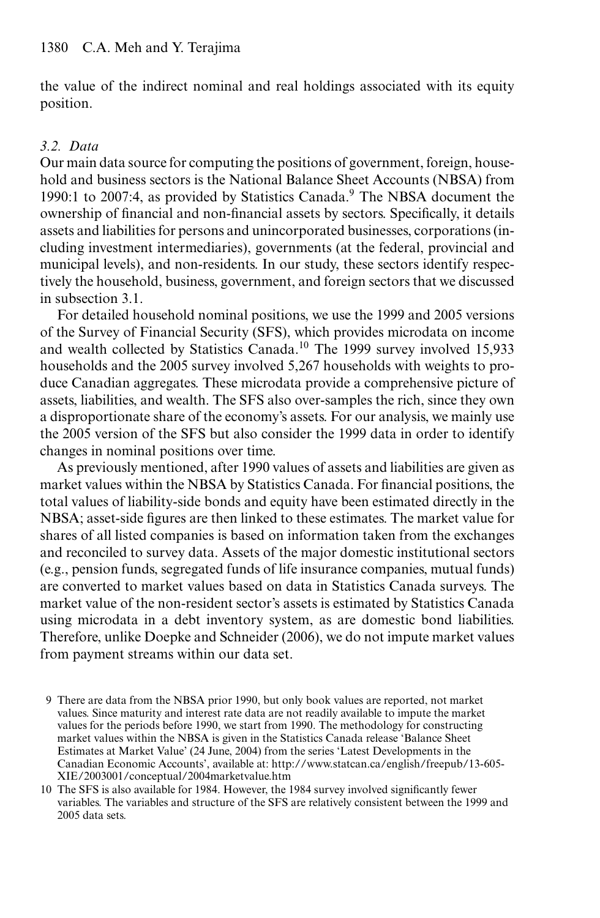the value of the indirect nominal and real holdings associated with its equity position.

## *3.2. Data*

Our main data source for computing the positions of government, foreign, household and business sectors is the National Balance Sheet Accounts (NBSA) from 1990:1 to 2007:4, as provided by Statistics Canada.<sup>9</sup> The NBSA document the ownership of financial and non-financial assets by sectors. Specifically, it details assets and liabilities for persons and unincorporated businesses, corporations (including investment intermediaries), governments (at the federal, provincial and municipal levels), and non-residents. In our study, these sectors identify respectively the household, business, government, and foreign sectors that we discussed in subsection 3.1.

For detailed household nominal positions, we use the 1999 and 2005 versions of the Survey of Financial Security (SFS), which provides microdata on income and wealth collected by Statistics Canada.10 The 1999 survey involved 15,933 households and the 2005 survey involved 5,267 households with weights to produce Canadian aggregates. These microdata provide a comprehensive picture of assets, liabilities, and wealth. The SFS also over-samples the rich, since they own a disproportionate share of the economy's assets. For our analysis, we mainly use the 2005 version of the SFS but also consider the 1999 data in order to identify changes in nominal positions over time.

As previously mentioned, after 1990 values of assets and liabilities are given as market values within the NBSA by Statistics Canada. For financial positions, the total values of liability-side bonds and equity have been estimated directly in the NBSA; asset-side figures are then linked to these estimates. The market value for shares of all listed companies is based on information taken from the exchanges and reconciled to survey data. Assets of the major domestic institutional sectors (e.g., pension funds, segregated funds of life insurance companies, mutual funds) are converted to market values based on data in Statistics Canada surveys. The market value of the non-resident sector's assets is estimated by Statistics Canada using microdata in a debt inventory system, as are domestic bond liabilities. Therefore, unlike Doepke and Schneider (2006), we do not impute market values from payment streams within our data set.

<sup>9</sup> There are data from the NBSA prior 1990, but only book values are reported, not market values. Since maturity and interest rate data are not readily available to impute the market values for the periods before 1990, we start from 1990. The methodology for constructing market values within the NBSA is given in the Statistics Canada release 'Balance Sheet Estimates at Market Value' (24 June, 2004) from the series 'Latest Developments in the Canadian Economic Accounts', available at: http://www.statcan.ca/english/freepub/13-605- XIE/2003001/conceptual/2004marketvalue.htm

<sup>10</sup> The SFS is also available for 1984. However, the 1984 survey involved significantly fewer variables. The variables and structure of the SFS are relatively consistent between the 1999 and 2005 data sets.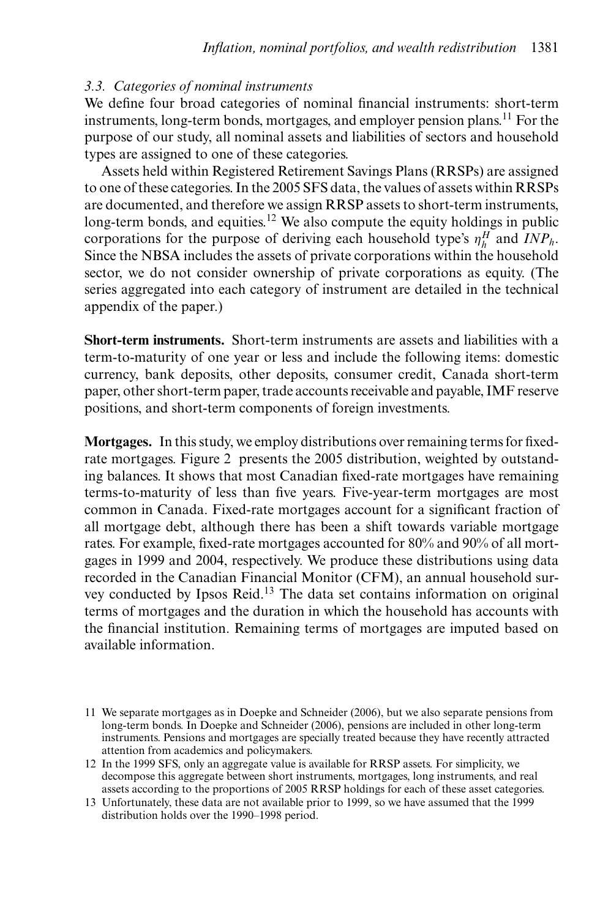#### *3.3. Categories of nominal instruments*

We define four broad categories of nominal financial instruments: short-term instruments, long-term bonds, mortgages, and employer pension plans.<sup>11</sup> For the purpose of our study, all nominal assets and liabilities of sectors and household types are assigned to one of these categories.

Assets held within Registered Retirement Savings Plans (RRSPs) are assigned to one of these categories. In the 2005 SFS data, the values of assets within RRSPs are documented, and therefore we assign RRSP assets to short-term instruments, long-term bonds, and equities.<sup>12</sup> We also compute the equity holdings in public corporations for the purpose of deriving each household type's  $\eta_h^H$  and  $INP_h$ . Since the NBSA includes the assets of private corporations within the household sector, we do not consider ownership of private corporations as equity. (The series aggregated into each category of instrument are detailed in the technical appendix of the paper.)

**Short-term instruments.** Short-term instruments are assets and liabilities with a term-to-maturity of one year or less and include the following items: domestic currency, bank deposits, other deposits, consumer credit, Canada short-term paper, other short-term paper, trade accounts receivable and payable, IMF reserve positions, and short-term components of foreign investments.

**Mortgages.** In this study, we employ distributions over remaining terms for fixedrate mortgages. Figure 2 presents the 2005 distribution, weighted by outstanding balances. It shows that most Canadian fixed-rate mortgages have remaining terms-to-maturity of less than five years. Five-year-term mortgages are most common in Canada. Fixed-rate mortgages account for a significant fraction of all mortgage debt, although there has been a shift towards variable mortgage rates. For example, fixed-rate mortgages accounted for 80% and 90% of all mortgages in 1999 and 2004, respectively. We produce these distributions using data recorded in the Canadian Financial Monitor (CFM), an annual household survey conducted by Ipsos Reid.<sup>13</sup> The data set contains information on original terms of mortgages and the duration in which the household has accounts with the financial institution. Remaining terms of mortgages are imputed based on available information.

<sup>11</sup> We separate mortgages as in Doepke and Schneider (2006), but we also separate pensions from long-term bonds. In Doepke and Schneider (2006), pensions are included in other long-term instruments. Pensions and mortgages are specially treated because they have recently attracted attention from academics and policymakers.

<sup>12</sup> In the 1999 SFS, only an aggregate value is available for RRSP assets. For simplicity, we decompose this aggregate between short instruments, mortgages, long instruments, and real assets according to the proportions of 2005 RRSP holdings for each of these asset categories.

<sup>13</sup> Unfortunately, these data are not available prior to 1999, so we have assumed that the 1999 distribution holds over the 1990–1998 period.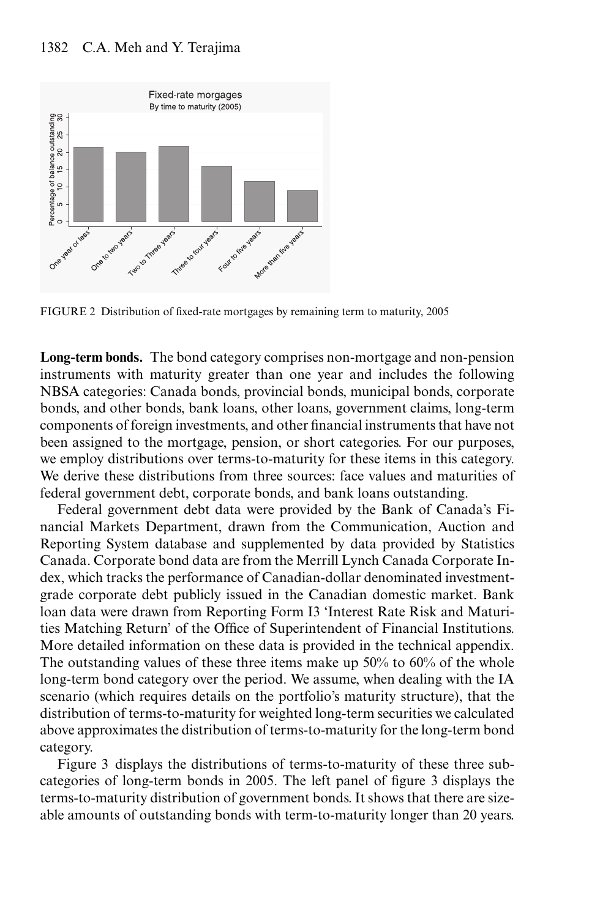

FIGURE 2 Distribution of fixed-rate mortgages by remaining term to maturity, 2005

**Long-term bonds.** The bond category comprises non-mortgage and non-pension instruments with maturity greater than one year and includes the following NBSA categories: Canada bonds, provincial bonds, municipal bonds, corporate bonds, and other bonds, bank loans, other loans, government claims, long-term components of foreign investments, and other financial instruments that have not been assigned to the mortgage, pension, or short categories. For our purposes, we employ distributions over terms-to-maturity for these items in this category. We derive these distributions from three sources: face values and maturities of federal government debt, corporate bonds, and bank loans outstanding.

Federal government debt data were provided by the Bank of Canada's Financial Markets Department, drawn from the Communication, Auction and Reporting System database and supplemented by data provided by Statistics Canada. Corporate bond data are from the Merrill Lynch Canada Corporate Index, which tracks the performance of Canadian-dollar denominated investmentgrade corporate debt publicly issued in the Canadian domestic market. Bank loan data were drawn from Reporting Form I3 'Interest Rate Risk and Maturities Matching Return' of the Office of Superintendent of Financial Institutions. More detailed information on these data is provided in the technical appendix. The outstanding values of these three items make up 50% to 60% of the whole long-term bond category over the period. We assume, when dealing with the IA scenario (which requires details on the portfolio's maturity structure), that the distribution of terms-to-maturity for weighted long-term securities we calculated above approximates the distribution of terms-to-maturity for the long-term bond category.

Figure 3 displays the distributions of terms-to-maturity of these three subcategories of long-term bonds in 2005. The left panel of figure 3 displays the terms-to-maturity distribution of government bonds. It shows that there are sizeable amounts of outstanding bonds with term-to-maturity longer than 20 years.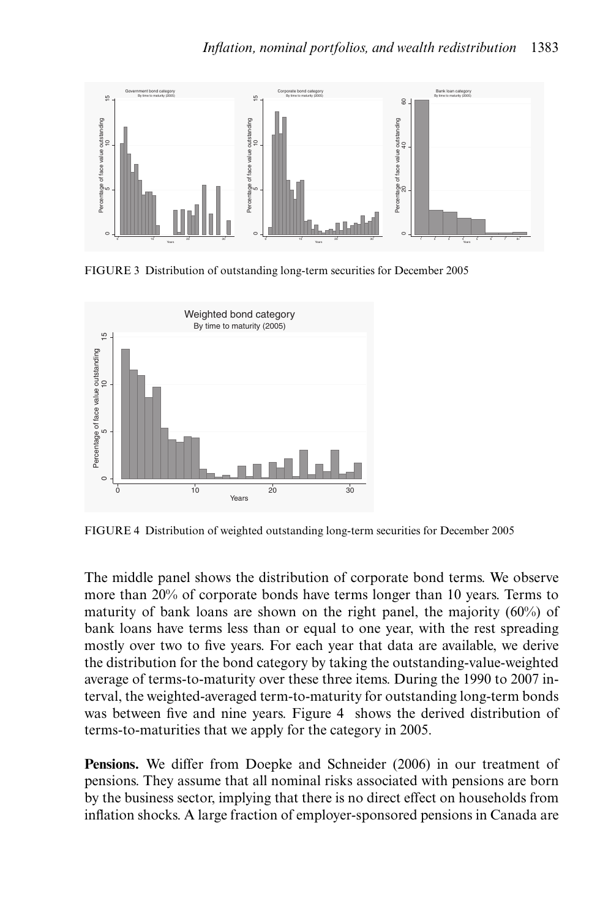

FIGURE 3 Distribution of outstanding long-term securities for December 2005



FIGURE 4 Distribution of weighted outstanding long-term securities for December 2005

The middle panel shows the distribution of corporate bond terms. We observe more than 20% of corporate bonds have terms longer than 10 years. Terms to maturity of bank loans are shown on the right panel, the majority (60%) of bank loans have terms less than or equal to one year, with the rest spreading mostly over two to five years. For each year that data are available, we derive the distribution for the bond category by taking the outstanding-value-weighted average of terms-to-maturity over these three items. During the 1990 to 2007 interval, the weighted-averaged term-to-maturity for outstanding long-term bonds was between five and nine years. Figure 4 shows the derived distribution of terms-to-maturities that we apply for the category in 2005.

Pensions. We differ from Doepke and Schneider (2006) in our treatment of pensions. They assume that all nominal risks associated with pensions are born by the business sector, implying that there is no direct effect on households from inflation shocks. A large fraction of employer-sponsored pensions in Canada are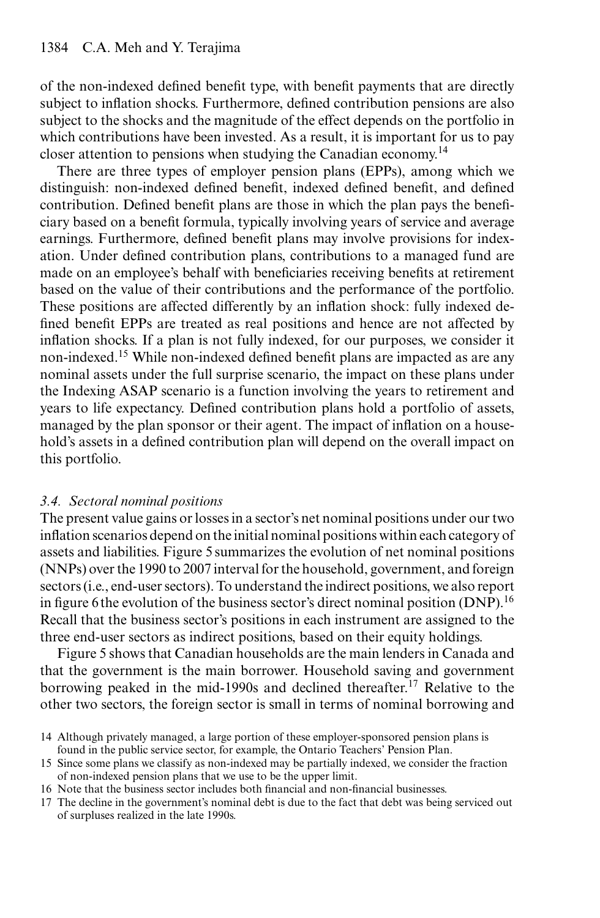of the non-indexed defined benefit type, with benefit payments that are directly subject to inflation shocks. Furthermore, defined contribution pensions are also subject to the shocks and the magnitude of the effect depends on the portfolio in which contributions have been invested. As a result, it is important for us to pay closer attention to pensions when studying the Canadian economy.<sup>14</sup>

There are three types of employer pension plans (EPPs), among which we distinguish: non-indexed defined benefit, indexed defined benefit, and defined contribution. Defined benefit plans are those in which the plan pays the beneficiary based on a benefit formula, typically involving years of service and average earnings. Furthermore, defined benefit plans may involve provisions for indexation. Under defined contribution plans, contributions to a managed fund are made on an employee's behalf with beneficiaries receiving benefits at retirement based on the value of their contributions and the performance of the portfolio. These positions are affected differently by an inflation shock: fully indexed defined benefit EPPs are treated as real positions and hence are not affected by inflation shocks. If a plan is not fully indexed, for our purposes, we consider it non-indexed.<sup>15</sup> While non-indexed defined benefit plans are impacted as are any nominal assets under the full surprise scenario, the impact on these plans under the Indexing ASAP scenario is a function involving the years to retirement and years to life expectancy. Defined contribution plans hold a portfolio of assets, managed by the plan sponsor or their agent. The impact of inflation on a household's assets in a defined contribution plan will depend on the overall impact on this portfolio.

## *3.4. Sectoral nominal positions*

The present value gains or losses in a sector's net nominal positions under our two inflation scenarios depend on the initial nominal positions within each category of assets and liabilities. Figure 5 summarizes the evolution of net nominal positions (NNPs) over the 1990 to 2007 interval for the household, government, and foreign sectors (i.e., end-user sectors). To understand the indirect positions, we also report in figure 6 the evolution of the business sector's direct nominal position (DNP).<sup>16</sup> Recall that the business sector's positions in each instrument are assigned to the three end-user sectors as indirect positions, based on their equity holdings.

Figure 5 shows that Canadian households are the main lenders in Canada and that the government is the main borrower. Household saving and government borrowing peaked in the mid-1990s and declined thereafter.<sup>17</sup> Relative to the other two sectors, the foreign sector is small in terms of nominal borrowing and

<sup>14</sup> Although privately managed, a large portion of these employer-sponsored pension plans is found in the public service sector, for example, the Ontario Teachers' Pension Plan.

<sup>15</sup> Since some plans we classify as non-indexed may be partially indexed, we consider the fraction of non-indexed pension plans that we use to be the upper limit.

<sup>16</sup> Note that the business sector includes both financial and non-financial businesses.

<sup>17</sup> The decline in the government's nominal debt is due to the fact that debt was being serviced out of surpluses realized in the late 1990s.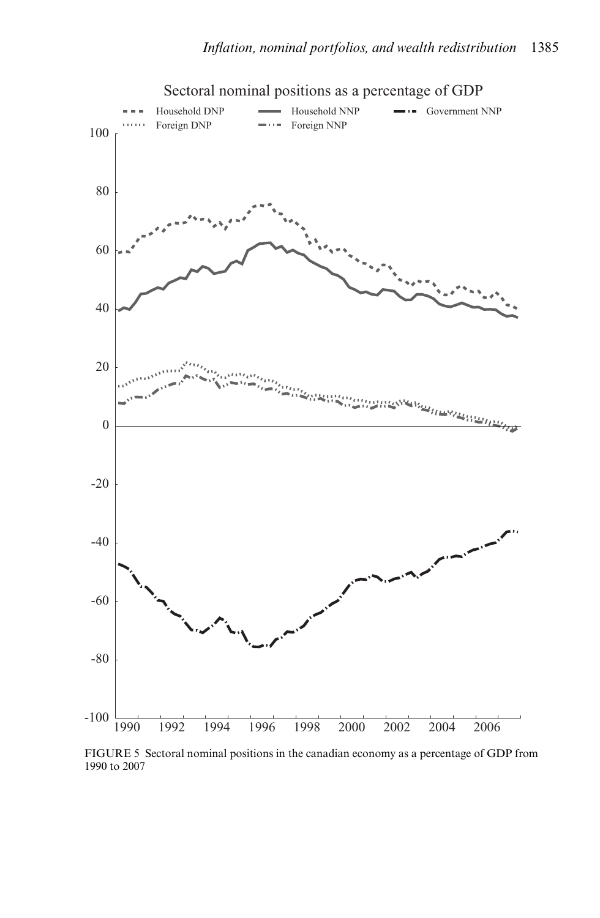

FIGURE 5 Sectoral nominal positions in the canadian economy as a percentage of GDP from 1990 to 2007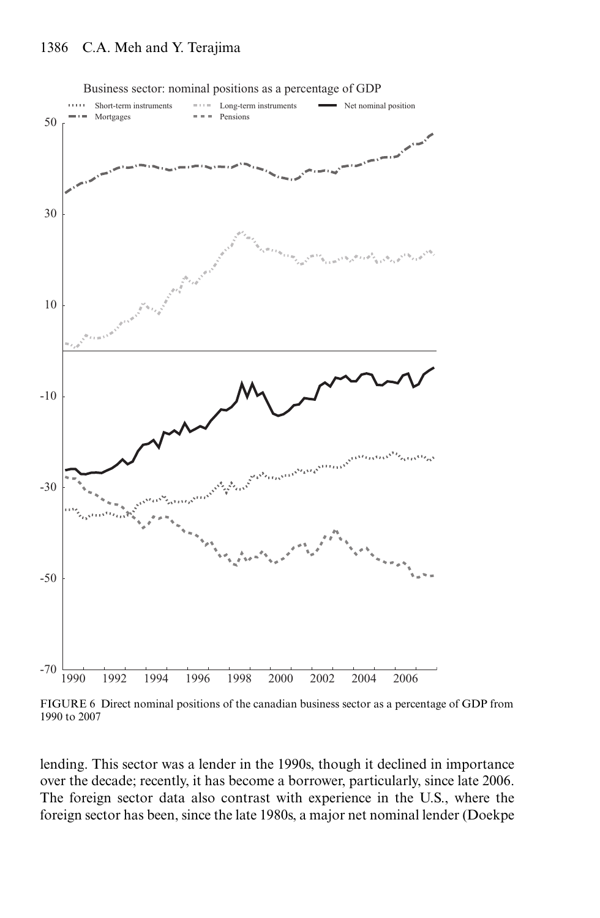

Business sector: nominal positions as a percentage of GDP

FIGURE 6 Direct nominal positions of the canadian business sector as a percentage of GDP from 1990 to 2007

lending. This sector was a lender in the 1990s, though it declined in importance over the decade; recently, it has become a borrower, particularly, since late 2006. The foreign sector data also contrast with experience in the U.S., where the foreign sector has been, since the late 1980s, a major net nominal lender (Doekpe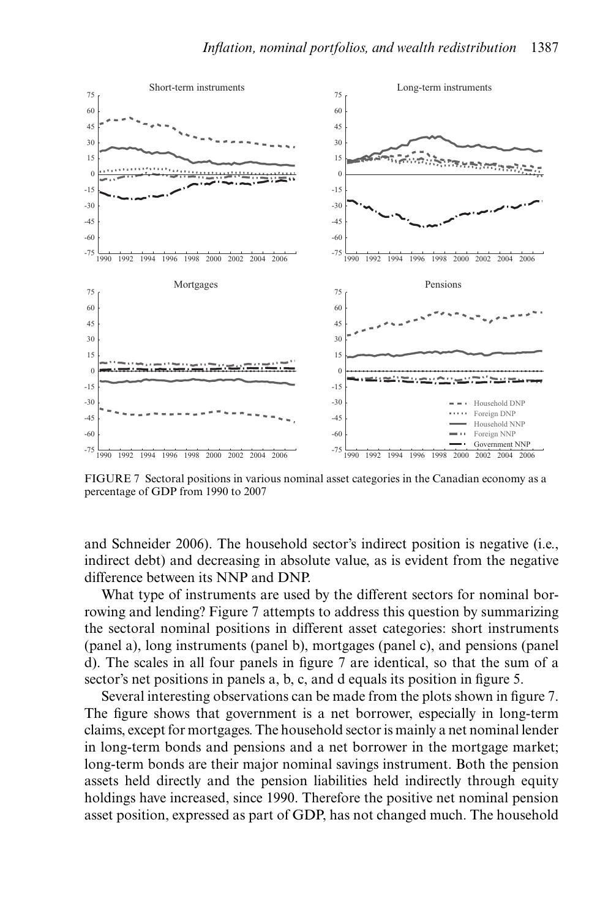

FIGURE 7 Sectoral positions in various nominal asset categories in the Canadian economy as a percentage of GDP from 1990 to 2007

and Schneider 2006). The household sector's indirect position is negative (i.e., indirect debt) and decreasing in absolute value, as is evident from the negative difference between its NNP and DNP.

What type of instruments are used by the different sectors for nominal borrowing and lending? Figure 7 attempts to address this question by summarizing the sectoral nominal positions in different asset categories: short instruments (panel a), long instruments (panel b), mortgages (panel c), and pensions (panel d). The scales in all four panels in figure 7 are identical, so that the sum of a sector's net positions in panels a, b, c, and d equals its position in figure 5.

Several interesting observations can be made from the plots shown in figure 7. The figure shows that government is a net borrower, especially in long-term claims, except for mortgages. The household sector is mainly a net nominal lender in long-term bonds and pensions and a net borrower in the mortgage market; long-term bonds are their major nominal savings instrument. Both the pension assets held directly and the pension liabilities held indirectly through equity holdings have increased, since 1990. Therefore the positive net nominal pension asset position, expressed as part of GDP, has not changed much. The household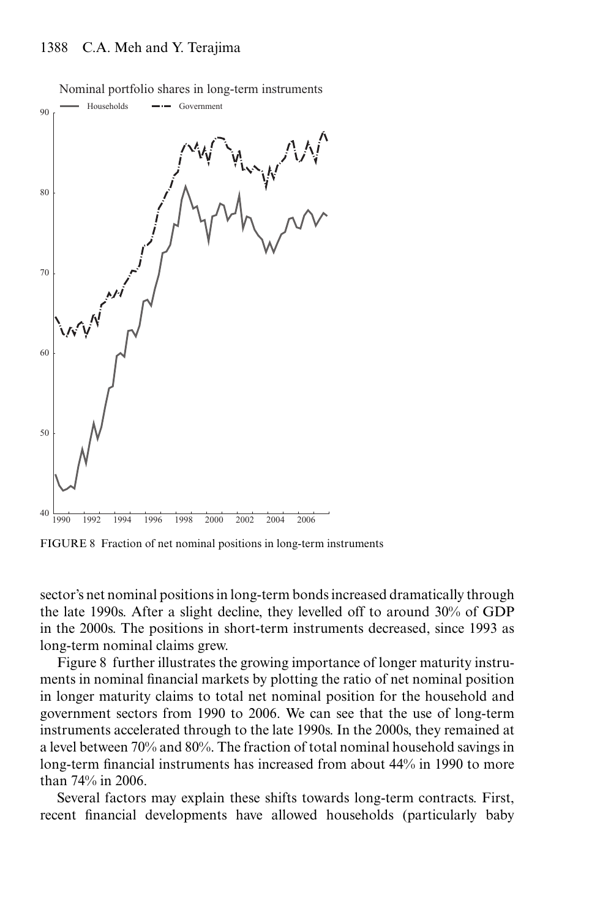

Nominal portfolio shares in long-term instruments

FIGURE 8 Fraction of net nominal positions in long-term instruments

sector's net nominal positions in long-term bonds increased dramatically through the late 1990s. After a slight decline, they levelled off to around 30% of GDP in the 2000s. The positions in short-term instruments decreased, since 1993 as long-term nominal claims grew.

Figure 8 further illustrates the growing importance of longer maturity instruments in nominal financial markets by plotting the ratio of net nominal position in longer maturity claims to total net nominal position for the household and government sectors from 1990 to 2006. We can see that the use of long-term instruments accelerated through to the late 1990s. In the 2000s, they remained at a level between 70% and 80%. The fraction of total nominal household savings in long-term financial instruments has increased from about 44% in 1990 to more than 74% in 2006.

Several factors may explain these shifts towards long-term contracts. First, recent financial developments have allowed households (particularly baby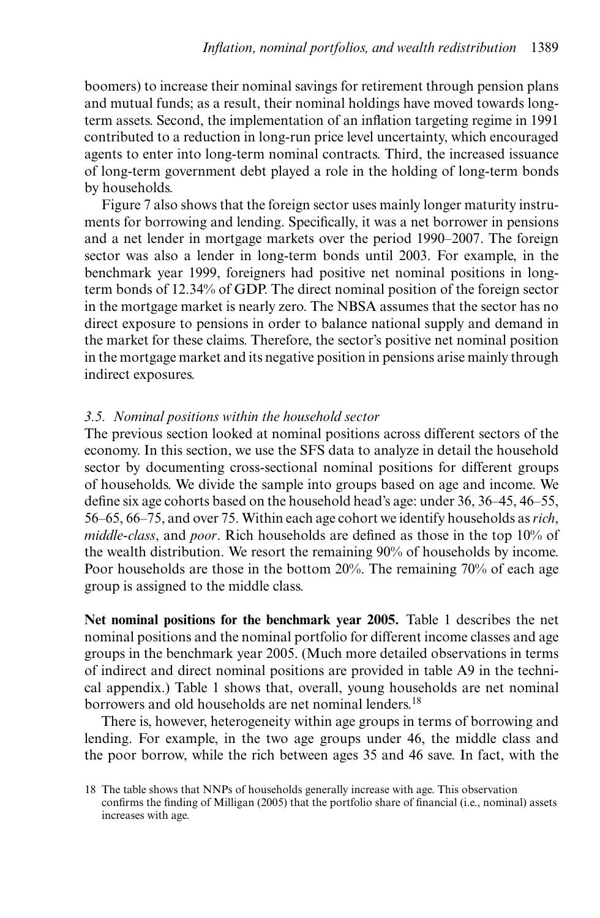boomers) to increase their nominal savings for retirement through pension plans and mutual funds; as a result, their nominal holdings have moved towards longterm assets. Second, the implementation of an inflation targeting regime in 1991 contributed to a reduction in long-run price level uncertainty, which encouraged agents to enter into long-term nominal contracts. Third, the increased issuance of long-term government debt played a role in the holding of long-term bonds by households.

Figure 7 also shows that the foreign sector uses mainly longer maturity instruments for borrowing and lending. Specifically, it was a net borrower in pensions and a net lender in mortgage markets over the period 1990–2007. The foreign sector was also a lender in long-term bonds until 2003. For example, in the benchmark year 1999, foreigners had positive net nominal positions in longterm bonds of 12.34% of GDP. The direct nominal position of the foreign sector in the mortgage market is nearly zero. The NBSA assumes that the sector has no direct exposure to pensions in order to balance national supply and demand in the market for these claims. Therefore, the sector's positive net nominal position in the mortgage market and its negative position in pensions arise mainly through indirect exposures.

#### *3.5. Nominal positions within the household sector*

The previous section looked at nominal positions across different sectors of the economy. In this section, we use the SFS data to analyze in detail the household sector by documenting cross-sectional nominal positions for different groups of households. We divide the sample into groups based on age and income. We define six age cohorts based on the household head's age: under 36, 36–45, 46–55, 56–65, 66–75, and over 75. Within each age cohort we identify households as*rich*, *middle-class*, and *poor*. Rich households are defined as those in the top 10% of the wealth distribution. We resort the remaining 90% of households by income. Poor households are those in the bottom 20%. The remaining 70% of each age group is assigned to the middle class.

**Net nominal positions for the benchmark year 2005.** Table 1 describes the net nominal positions and the nominal portfolio for different income classes and age groups in the benchmark year 2005. (Much more detailed observations in terms of indirect and direct nominal positions are provided in table A9 in the technical appendix.) Table 1 shows that, overall, young households are net nominal borrowers and old households are net nominal lenders.<sup>18</sup>

There is, however, heterogeneity within age groups in terms of borrowing and lending. For example, in the two age groups under 46, the middle class and the poor borrow, while the rich between ages 35 and 46 save. In fact, with the

<sup>18</sup> The table shows that NNPs of households generally increase with age. This observation confirms the finding of Milligan (2005) that the portfolio share of financial (i.e., nominal) assets increases with age.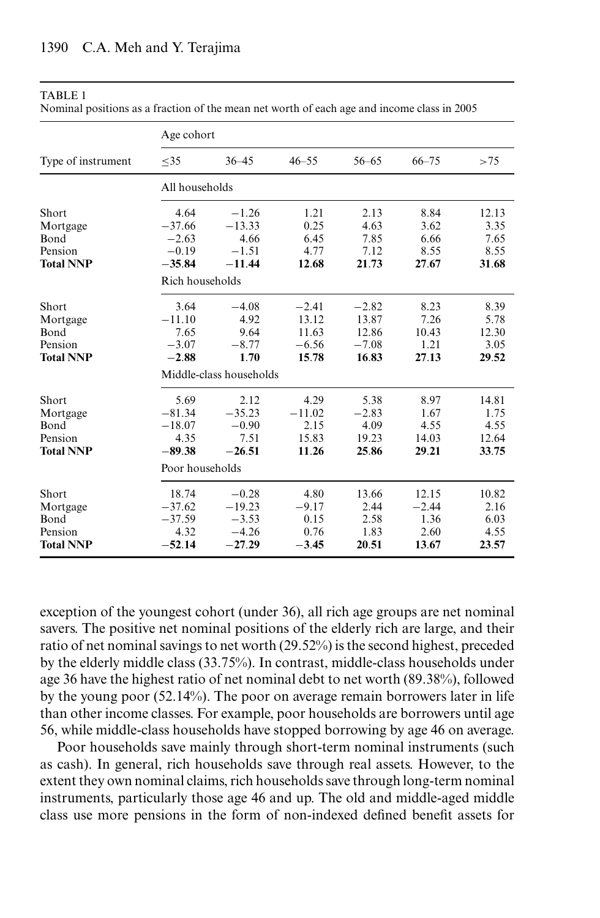|                    | Age cohort              |                 |              |              |              |              |  |
|--------------------|-------------------------|-----------------|--------------|--------------|--------------|--------------|--|
| Type of instrument | <35                     | $36 - 45$       | $46 - 55$    | $56 - 65$    | $66 - 75$    | >75          |  |
|                    | All households          |                 |              |              |              |              |  |
| Short              | 4.64                    | $-1.26$         | 1.21         | 2.13         | 8.84         | 12.13        |  |
| Mortgage           | $-37.66$<br>$-2.63$     | $-13.33$        | 0.25         | 4.63         | 3.62         | 3.35         |  |
| Bond<br>Pension    | $-0.19$                 | 4.66<br>$-1.51$ | 6.45<br>4.77 | 7.85<br>7.12 | 6.66<br>8.55 | 7.65<br>8.55 |  |
| <b>Total NNP</b>   | $-35.84$                | $-11.44$        | 12.68        | 21.73        | 27.67        | 31.68        |  |
|                    | Rich households         |                 |              |              |              |              |  |
| Short              | 3.64                    | $-4.08$         | $-2.41$      | $-2.82$      | 8.23         | 8.39         |  |
| Mortgage           | $-11.10$                | 4.92            | 13.12        | 13.87        | 7.26         | 5.78         |  |
| Bond               | 7.65                    | 9.64            | 11.63        | 12.86        | 10.43        | 12.30        |  |
| Pension            | $-3.07$                 | $-8.77$         | $-6.56$      | $-7.08$      | 1.21         | 3.05         |  |
| <b>Total NNP</b>   | $-2.88$                 | 1.70            | 15.78        | 16.83        | 27.13        | 29.52        |  |
|                    | Middle-class households |                 |              |              |              |              |  |
| Short              | 5.69                    | 2.12            | 4.29         | 5.38         | 8.97         | 14.81        |  |
| Mortgage           | $-81.34$                | $-35.23$        | $-11.02$     | $-2.83$      | 1.67         | 1.75         |  |
| Bond               | $-18.07$                | $-0.90$         | 2.15         | 4.09         | 4.55         | 4.55         |  |
| Pension            | 4.35                    | 7.51            | 15.83        | 19.23        | 14.03        | 12.64        |  |
| <b>Total NNP</b>   | $-89.38$                | $-26.51$        | 11.26        | 25.86        | 29.21        | 33.75        |  |
|                    | Poor households         |                 |              |              |              |              |  |
| Short              | 18.74                   | $-0.28$         | 4.80         | 13.66        | 12.15        | 10.82        |  |
| Mortgage           | $-37.62$                | $-19.23$        | $-9.17$      | 2.44         | $-2.44$      | 2.16         |  |
| Bond               | $-37.59$                | $-3.53$         | 0.15         | 2.58         | 1.36         | 6.03         |  |
| Pension            | 4.32                    | $-4.26$         | 0.76         | 1.83         | 2.60         | 4.55         |  |
| <b>Total NNP</b>   | $-52.14$                | $-27.29$        | $-3.45$      | 20.51        | 13.67        | 23.57        |  |

TABLE 1

Nominal positions as a fraction of the mean net worth of each age and income class in 2005

exception of the youngest cohort (under 36), all rich age groups are net nominal savers. The positive net nominal positions of the elderly rich are large, and their ratio of net nominal savings to net worth (29.52%) is the second highest, preceded by the elderly middle class (33.75%). In contrast, middle-class households under age 36 have the highest ratio of net nominal debt to net worth (89.38%), followed by the young poor (52.14%). The poor on average remain borrowers later in life than other income classes. For example, poor households are borrowers until age 56, while middle-class households have stopped borrowing by age 46 on average.

Poor households save mainly through short-term nominal instruments (such as cash). In general, rich households save through real assets. However, to the extent they own nominal claims, rich households save through long-term nominal instruments, particularly those age 46 and up. The old and middle-aged middle class use more pensions in the form of non-indexed defined benefit assets for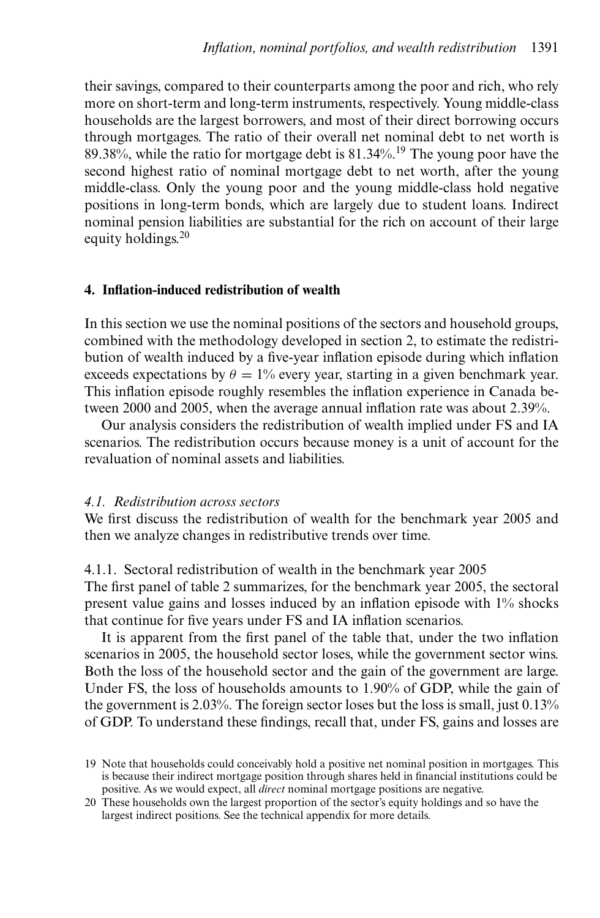their savings, compared to their counterparts among the poor and rich, who rely more on short-term and long-term instruments, respectively. Young middle-class households are the largest borrowers, and most of their direct borrowing occurs through mortgages. The ratio of their overall net nominal debt to net worth is 89.38%, while the ratio for mortgage debt is 81.34%.19 The young poor have the second highest ratio of nominal mortgage debt to net worth, after the young middle-class. Only the young poor and the young middle-class hold negative positions in long-term bonds, which are largely due to student loans. Indirect nominal pension liabilities are substantial for the rich on account of their large equity holdings. $20$ 

#### **4. Inflation-induced redistribution of wealth**

In this section we use the nominal positions of the sectors and household groups, combined with the methodology developed in section 2, to estimate the redistribution of wealth induced by a five-year inflation episode during which inflation exceeds expectations by  $\theta = 1\%$  every year, starting in a given benchmark year. This inflation episode roughly resembles the inflation experience in Canada between 2000 and 2005, when the average annual inflation rate was about 2.39%.

Our analysis considers the redistribution of wealth implied under FS and IA scenarios. The redistribution occurs because money is a unit of account for the revaluation of nominal assets and liabilities.

#### *4.1. Redistribution across sectors*

We first discuss the redistribution of wealth for the benchmark year 2005 and then we analyze changes in redistributive trends over time.

#### 4.1.1. Sectoral redistribution of wealth in the benchmark year 2005

The first panel of table 2 summarizes, for the benchmark year 2005, the sectoral present value gains and losses induced by an inflation episode with 1% shocks that continue for five years under FS and IA inflation scenarios.

It is apparent from the first panel of the table that, under the two inflation scenarios in 2005, the household sector loses, while the government sector wins. Both the loss of the household sector and the gain of the government are large. Under FS, the loss of households amounts to 1.90% of GDP, while the gain of the government is 2.03%. The foreign sector loses but the loss is small, just 0.13% of GDP. To understand these findings, recall that, under FS, gains and losses are

<sup>19</sup> Note that households could conceivably hold a positive net nominal position in mortgages. This is because their indirect mortgage position through shares held in financial institutions could be positive. As we would expect, all *direct* nominal mortgage positions are negative.

<sup>20</sup> These households own the largest proportion of the sector's equity holdings and so have the largest indirect positions. See the technical appendix for more details.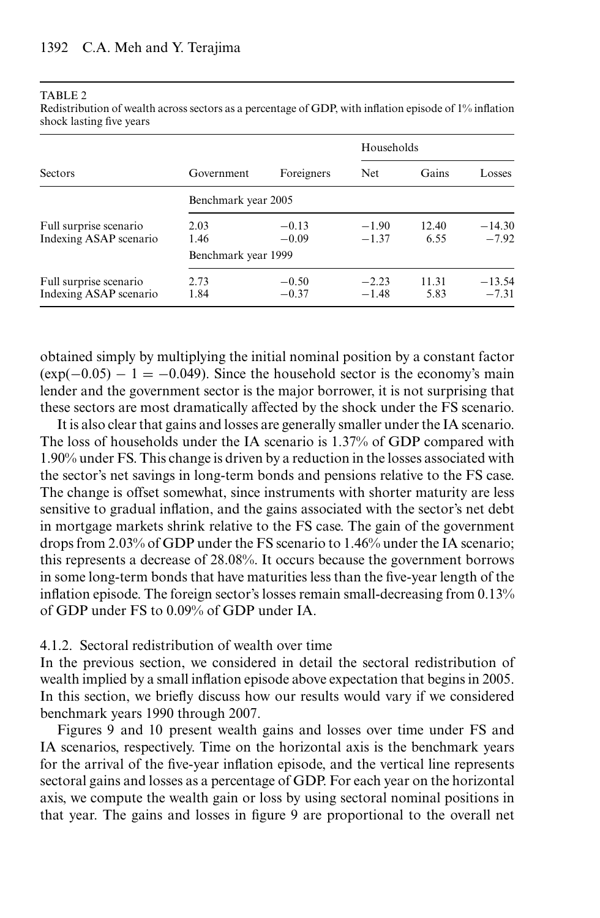TABLE 2

Redistribution of wealth across sectors as a percentage of GDP, with inflation episode of 1% inflation shock lasting five years

|                                                  |                     |                    | Households         |               |                     |
|--------------------------------------------------|---------------------|--------------------|--------------------|---------------|---------------------|
| Sectors                                          | Government          | Foreigners         | <b>Net</b>         | Gains         | Losses              |
|                                                  | Benchmark year 2005 |                    |                    |               |                     |
| Full surprise scenario<br>Indexing ASAP scenario | 2.03<br>1.46        | $-0.13$<br>$-0.09$ | $-1.90$<br>$-1.37$ | 12.40<br>6.55 | $-14.30$<br>$-7.92$ |
|                                                  | Benchmark year 1999 |                    |                    |               |                     |
| Full surprise scenario<br>Indexing ASAP scenario | 2.73<br>1.84        | $-0.50$<br>$-0.37$ | $-2.23$<br>$-1.48$ | 11.31<br>5.83 | $-13.54$<br>$-7.31$ |

obtained simply by multiplying the initial nominal position by a constant factor  $(\exp(-0.05) - 1 = -0.049)$ . Since the household sector is the economy's main lender and the government sector is the major borrower, it is not surprising that these sectors are most dramatically affected by the shock under the FS scenario.

It is also clear that gains and losses are generally smaller under the IA scenario. The loss of households under the IA scenario is 1.37% of GDP compared with 1.90% under FS. This change is driven by a reduction in the losses associated with the sector's net savings in long-term bonds and pensions relative to the FS case. The change is offset somewhat, since instruments with shorter maturity are less sensitive to gradual inflation, and the gains associated with the sector's net debt in mortgage markets shrink relative to the FS case. The gain of the government drops from 2.03% of GDP under the FS scenario to 1.46% under the IA scenario; this represents a decrease of 28.08%. It occurs because the government borrows in some long-term bonds that have maturities less than the five-year length of the inflation episode. The foreign sector's losses remain small-decreasing from 0.13% of GDP under FS to 0.09% of GDP under IA.

## 4.1.2. Sectoral redistribution of wealth over time

In the previous section, we considered in detail the sectoral redistribution of wealth implied by a small inflation episode above expectation that begins in 2005. In this section, we briefly discuss how our results would vary if we considered benchmark years 1990 through 2007.

Figures 9 and 10 present wealth gains and losses over time under FS and IA scenarios, respectively. Time on the horizontal axis is the benchmark years for the arrival of the five-year inflation episode, and the vertical line represents sectoral gains and losses as a percentage of GDP. For each year on the horizontal axis, we compute the wealth gain or loss by using sectoral nominal positions in that year. The gains and losses in figure 9 are proportional to the overall net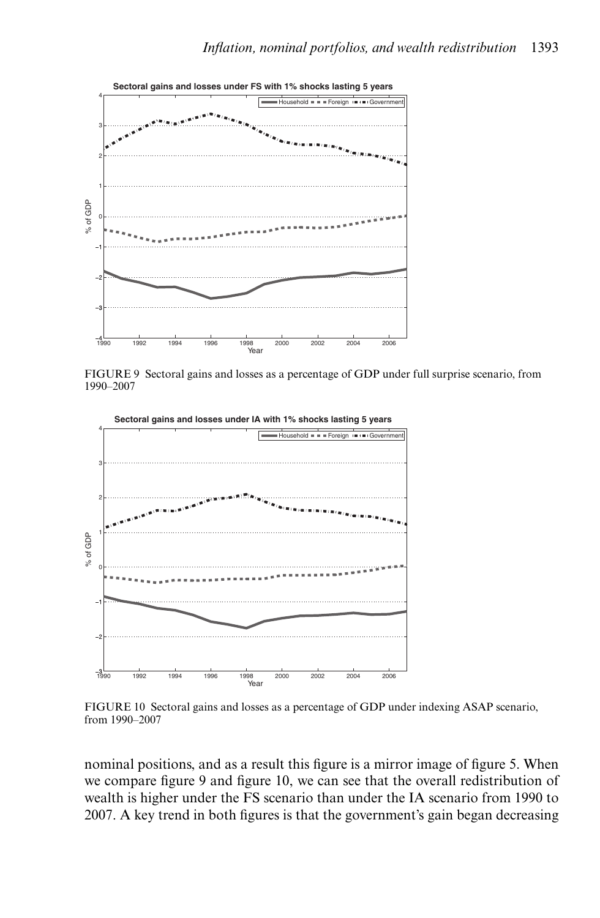

FIGURE 9 Sectoral gains and losses as a percentage of GDP under full surprise scenario, from 1990–2007



FIGURE 10 Sectoral gains and losses as a percentage of GDP under indexing ASAP scenario, from 1990–2007

nominal positions, and as a result this figure is a mirror image of figure 5. When we compare figure 9 and figure 10, we can see that the overall redistribution of wealth is higher under the FS scenario than under the IA scenario from 1990 to 2007. A key trend in both figures is that the government's gain began decreasing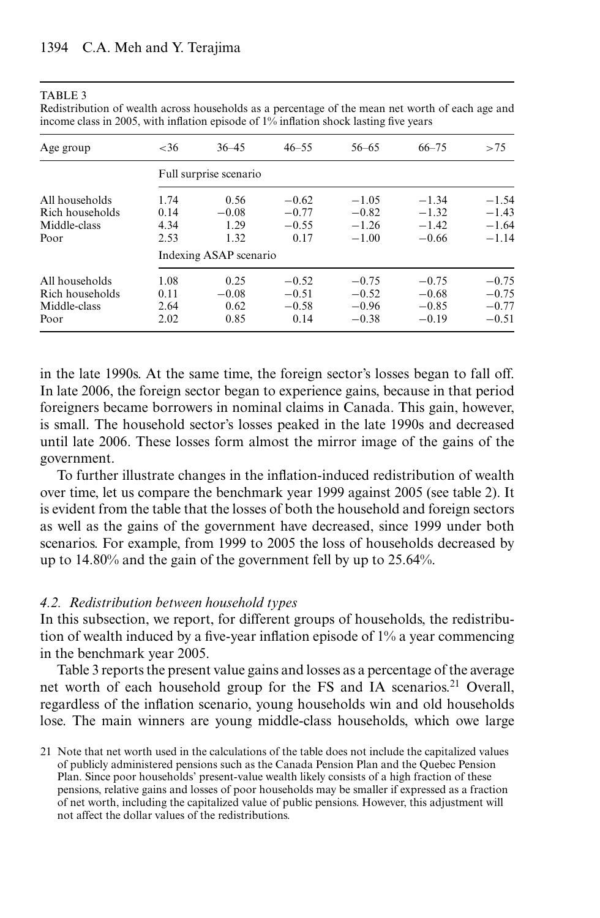#### TABLE 3

Age group  $<$ 36  $36-45$   $46-55$   $56-65$   $66-75$   $>75$ Full surprise scenario All households 1.74 0.56 −0.62 −1.05 −1.34 −1.54<br>Rich households 0.14 −0.08 −0.77 −0.82 −1.32 −1.43 Rich households  $0.14 -0.08 -0.77 -0.82 -1.32$ <br>Middle-class  $4.34$   $1.29 -0.55 -1.26 -1.42$ Middle-class 4.34 1.29 −0.55 −1.26 −1.42 −1.64 Poor 2.53 1.32 0.17 −1.00 −0.66 −1.14 Indexing ASAP scenario All households 1.08 0.25 −0.52 −0.75 −0.75 −0.75<br>
Rich households 0.11 −0.08 −0.51 −0.52 −0.68 −0.75 Rich households  $0.11$  −0.08 −0.51 −0.52 −0.68 −0.75<br>
Middle-class 2.64 0.62 −0.58 −0.96 −0.85 −0.77 Middle-class 2.64 0.62 −0.58 −0.96 −0.85 −0.77<br>Poor 2.02 0.85 0.14 −0.38 −0.19 −0.51 Poor 2.02 0.85 0.14 −0.38 −0.19 −0.51

Redistribution of wealth across households as a percentage of the mean net worth of each age and income class in 2005, with inflation episode of 1% inflation shock lasting five years

in the late 1990s. At the same time, the foreign sector's losses began to fall off. In late 2006, the foreign sector began to experience gains, because in that period foreigners became borrowers in nominal claims in Canada. This gain, however, is small. The household sector's losses peaked in the late 1990s and decreased until late 2006. These losses form almost the mirror image of the gains of the government.

To further illustrate changes in the inflation-induced redistribution of wealth over time, let us compare the benchmark year 1999 against 2005 (see table 2). It is evident from the table that the losses of both the household and foreign sectors as well as the gains of the government have decreased, since 1999 under both scenarios. For example, from 1999 to 2005 the loss of households decreased by up to 14.80% and the gain of the government fell by up to 25.64%.

#### *4.2. Redistribution between household types*

In this subsection, we report, for different groups of households, the redistribution of wealth induced by a five-year inflation episode of 1% a year commencing in the benchmark year 2005.

Table 3 reports the present value gains and losses as a percentage of the average net worth of each household group for the FS and IA scenarios.<sup>21</sup> Overall, regardless of the inflation scenario, young households win and old households lose. The main winners are young middle-class households, which owe large

<sup>21</sup> Note that net worth used in the calculations of the table does not include the capitalized values of publicly administered pensions such as the Canada Pension Plan and the Quebec Pension Plan. Since poor households' present-value wealth likely consists of a high fraction of these pensions, relative gains and losses of poor households may be smaller if expressed as a fraction of net worth, including the capitalized value of public pensions. However, this adjustment will not affect the dollar values of the redistributions.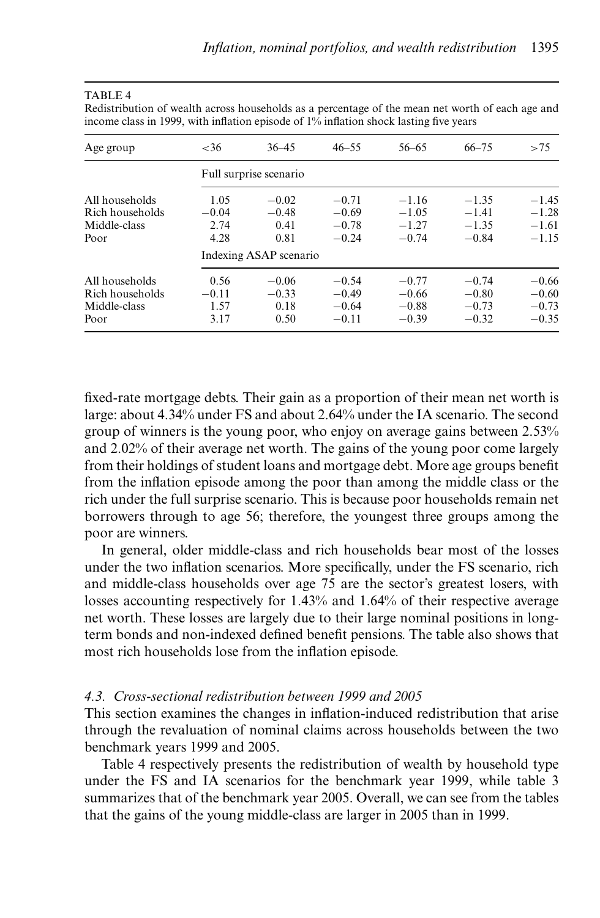| Age group                                                 | <36                             | $36 - 45$                          | $46 - 55$                                | $56 - 65$                                | $66 - 75$                                | >75                                      |
|-----------------------------------------------------------|---------------------------------|------------------------------------|------------------------------------------|------------------------------------------|------------------------------------------|------------------------------------------|
|                                                           | Full surprise scenario          |                                    |                                          |                                          |                                          |                                          |
| All households<br>Rich households<br>Middle-class<br>Poor | 1.05<br>$-0.04$<br>2.74<br>4.28 | $-0.02$<br>$-0.48$<br>0.41<br>0.81 | $-0.71$<br>$-0.69$<br>$-0.78$<br>$-0.24$ | $-1.16$<br>$-1.05$<br>$-1.27$<br>$-0.74$ | $-1.35$<br>$-1.41$<br>$-1.35$<br>$-0.84$ | $-1.45$<br>$-1.28$<br>$-1.61$<br>$-1.15$ |
|                                                           |                                 | Indexing ASAP scenario             |                                          |                                          |                                          |                                          |
| All households<br>Rich households<br>Middle-class<br>Poor | 0.56<br>$-0.11$<br>1.57<br>3.17 | $-0.06$<br>$-0.33$<br>0.18<br>0.50 | $-0.54$<br>$-0.49$<br>$-0.64$<br>$-0.11$ | $-0.77$<br>$-0.66$<br>$-0.88$<br>$-0.39$ | $-0.74$<br>$-0.80$<br>$-0.73$<br>$-0.32$ | $-0.66$<br>$-0.60$<br>$-0.73$<br>$-0.35$ |

#### TABLE 4

Redistribution of wealth across households as a percentage of the mean net worth of each age and income class in 1999, with inflation episode of 1% inflation shock lasting five years

fixed-rate mortgage debts. Their gain as a proportion of their mean net worth is large: about 4.34% under FS and about 2.64% under the IA scenario. The second group of winners is the young poor, who enjoy on average gains between 2.53% and 2.02% of their average net worth. The gains of the young poor come largely from their holdings of student loans and mortgage debt. More age groups benefit from the inflation episode among the poor than among the middle class or the rich under the full surprise scenario. This is because poor households remain net borrowers through to age 56; therefore, the youngest three groups among the poor are winners.

In general, older middle-class and rich households bear most of the losses under the two inflation scenarios. More specifically, under the FS scenario, rich and middle-class households over age 75 are the sector's greatest losers, with losses accounting respectively for 1.43% and 1.64% of their respective average net worth. These losses are largely due to their large nominal positions in longterm bonds and non-indexed defined benefit pensions. The table also shows that most rich households lose from the inflation episode.

#### *4.3. Cross-sectional redistribution between 1999 and 2005*

This section examines the changes in inflation-induced redistribution that arise through the revaluation of nominal claims across households between the two benchmark years 1999 and 2005.

Table 4 respectively presents the redistribution of wealth by household type under the FS and IA scenarios for the benchmark year 1999, while table 3 summarizes that of the benchmark year 2005. Overall, we can see from the tables that the gains of the young middle-class are larger in 2005 than in 1999.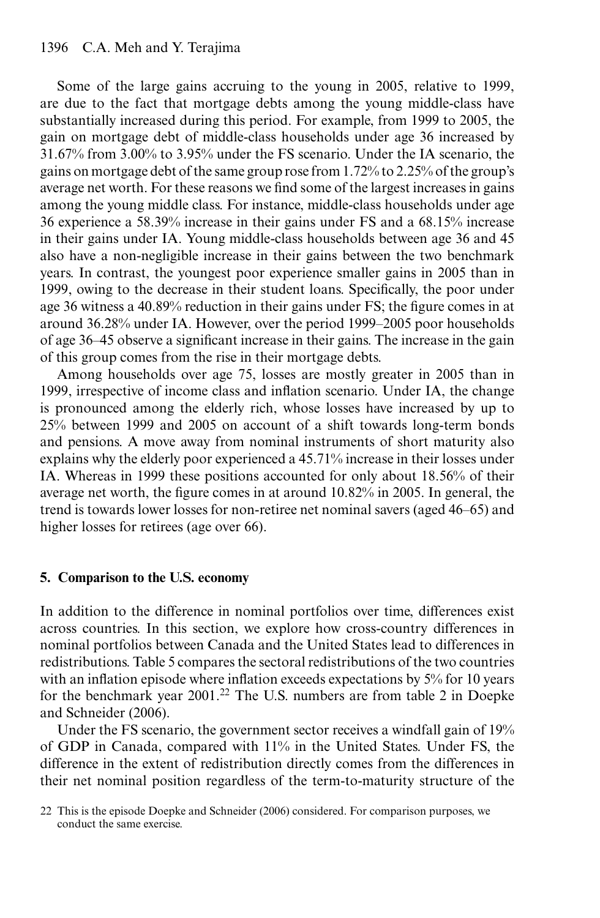Some of the large gains accruing to the young in 2005, relative to 1999, are due to the fact that mortgage debts among the young middle-class have substantially increased during this period. For example, from 1999 to 2005, the gain on mortgage debt of middle-class households under age 36 increased by 31.67% from 3.00% to 3.95% under the FS scenario. Under the IA scenario, the gains on mortgage debt of the same group rose from 1.72% to 2.25% of the group's average net worth. For these reasons we find some of the largest increases in gains among the young middle class. For instance, middle-class households under age 36 experience a 58.39% increase in their gains under FS and a 68.15% increase in their gains under IA. Young middle-class households between age 36 and 45 also have a non-negligible increase in their gains between the two benchmark years. In contrast, the youngest poor experience smaller gains in 2005 than in 1999, owing to the decrease in their student loans. Specifically, the poor under age 36 witness a 40.89% reduction in their gains under FS; the figure comes in at around 36.28% under IA. However, over the period 1999–2005 poor households of age 36–45 observe a significant increase in their gains. The increase in the gain of this group comes from the rise in their mortgage debts.

Among households over age 75, losses are mostly greater in 2005 than in 1999, irrespective of income class and inflation scenario. Under IA, the change is pronounced among the elderly rich, whose losses have increased by up to 25% between 1999 and 2005 on account of a shift towards long-term bonds and pensions. A move away from nominal instruments of short maturity also explains why the elderly poor experienced a 45.71% increase in their losses under IA. Whereas in 1999 these positions accounted for only about 18.56% of their average net worth, the figure comes in at around 10.82% in 2005. In general, the trend is towards lower losses for non-retiree net nominal savers (aged 46–65) and higher losses for retirees (age over 66).

#### **5. Comparison to the U.S. economy**

In addition to the difference in nominal portfolios over time, differences exist across countries. In this section, we explore how cross-country differences in nominal portfolios between Canada and the United States lead to differences in redistributions. Table 5 compares the sectoral redistributions of the two countries with an inflation episode where inflation exceeds expectations by 5% for 10 years for the benchmark year  $2001<sup>22</sup>$ . The U.S. numbers are from table 2 in Doepke and Schneider (2006).

Under the FS scenario, the government sector receives a windfall gain of 19% of GDP in Canada, compared with 11% in the United States. Under FS, the difference in the extent of redistribution directly comes from the differences in their net nominal position regardless of the term-to-maturity structure of the

<sup>22</sup> This is the episode Doepke and Schneider (2006) considered. For comparison purposes, we conduct the same exercise.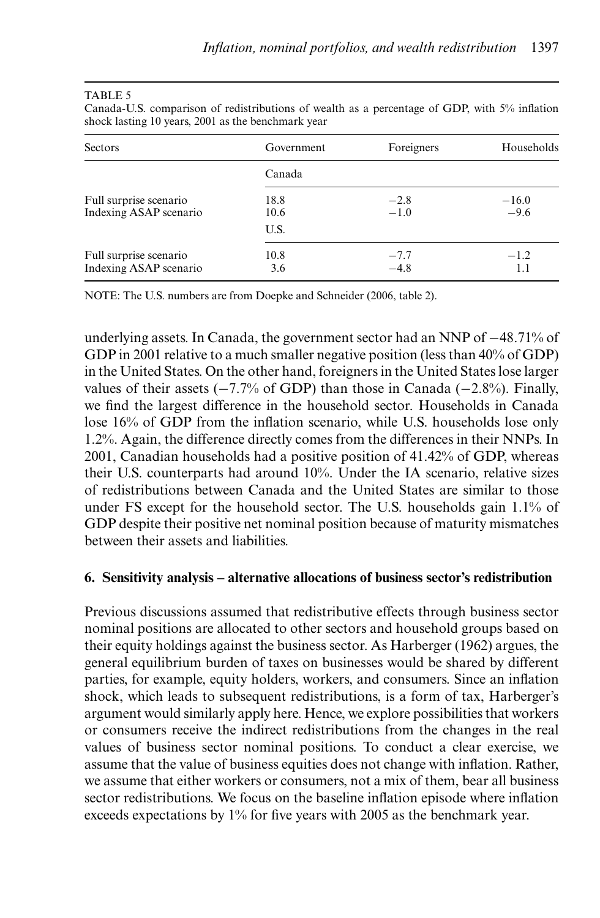| ВI |  |
|----|--|
|----|--|

| Sectors                                          | Government   | Foreigners       | Households        |  |
|--------------------------------------------------|--------------|------------------|-------------------|--|
|                                                  | Canada       |                  |                   |  |
| Full surprise scenario<br>Indexing ASAP scenario | 18.8<br>10.6 | $-2.8$<br>$-1.0$ | $-16.0$<br>$-9.6$ |  |
|                                                  | U.S.         |                  |                   |  |
| Full surprise scenario<br>Indexing ASAP scenario | 10.8<br>3.6  | $-7.7$<br>$-4.8$ | $-1.2$<br>1.1     |  |

Canada-U.S. comparison of redistributions of wealth as a percentage of GDP, with 5% inflation shock lasting 10 years, 2001 as the benchmark year

NOTE: The U.S. numbers are from Doepke and Schneider (2006, table 2).

underlying assets. In Canada, the government sector had an NNP of −48.71% of GDP in 2001 relative to a much smaller negative position (less than 40% of GDP) in the United States. On the other hand, foreigners in the United States lose larger values of their assets ( $-7.7\%$  of GDP) than those in Canada ( $-2.8\%$ ). Finally, we find the largest difference in the household sector. Households in Canada lose 16% of GDP from the inflation scenario, while U.S. households lose only 1.2%. Again, the difference directly comes from the differences in their NNPs. In 2001, Canadian households had a positive position of 41.42% of GDP, whereas their U.S. counterparts had around 10%. Under the IA scenario, relative sizes of redistributions between Canada and the United States are similar to those under FS except for the household sector. The U.S. households gain 1.1% of GDP despite their positive net nominal position because of maturity mismatches between their assets and liabilities.

#### **6. Sensitivity analysis – alternative allocations of business sector's redistribution**

Previous discussions assumed that redistributive effects through business sector nominal positions are allocated to other sectors and household groups based on their equity holdings against the business sector. As Harberger (1962) argues, the general equilibrium burden of taxes on businesses would be shared by different parties, for example, equity holders, workers, and consumers. Since an inflation shock, which leads to subsequent redistributions, is a form of tax, Harberger's argument would similarly apply here. Hence, we explore possibilities that workers or consumers receive the indirect redistributions from the changes in the real values of business sector nominal positions. To conduct a clear exercise, we assume that the value of business equities does not change with inflation. Rather, we assume that either workers or consumers, not a mix of them, bear all business sector redistributions. We focus on the baseline inflation episode where inflation exceeds expectations by 1% for five years with 2005 as the benchmark year.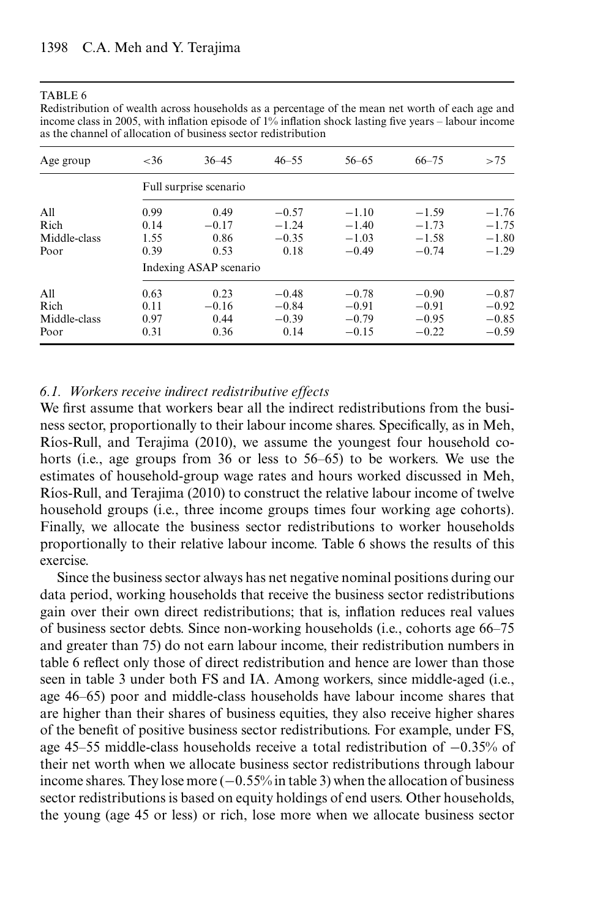#### TABLE 6

Redistribution of wealth across households as a percentage of the mean net worth of each age and income class in 2005, with inflation episode of  $1\%$  inflation shock lasting five years – labour income as the channel of allocation of business sector redistribution

| Age group    | <36                    | $36 - 45$              | $46 - 55$ | $56 - 65$ | $66 - 75$ | >75     |  |  |  |
|--------------|------------------------|------------------------|-----------|-----------|-----------|---------|--|--|--|
|              |                        | Full surprise scenario |           |           |           |         |  |  |  |
| A11          | 0.99                   | 0.49                   | $-0.57$   | $-1.10$   | $-1.59$   | $-1.76$ |  |  |  |
| Rich         | 0.14                   | $-0.17$                | $-1.24$   | $-1.40$   | $-1.73$   | $-1.75$ |  |  |  |
| Middle-class | 1.55                   | 0.86                   | $-0.35$   | $-1.03$   | $-1.58$   | $-1.80$ |  |  |  |
| Poor         | 0.39                   | 0.53                   | 0.18      | $-0.49$   | $-0.74$   | $-1.29$ |  |  |  |
|              | Indexing ASAP scenario |                        |           |           |           |         |  |  |  |
| A11          | 0.63                   | 0.23                   | $-0.48$   | $-0.78$   | $-0.90$   | $-0.87$ |  |  |  |
| Rich         | 0.11                   | $-0.16$                | $-0.84$   | $-0.91$   | $-0.91$   | $-0.92$ |  |  |  |
| Middle-class | 0.97                   | 0.44                   | $-0.39$   | $-0.79$   | $-0.95$   | $-0.85$ |  |  |  |
| Poor         | 0.31                   | 0.36                   | 0.14      | $-0.15$   | $-0.22$   | $-0.59$ |  |  |  |

#### *6.1. Workers receive indirect redistributive effects*

We first assume that workers bear all the indirect redistributions from the business sector, proportionally to their labour income shares. Specifically, as in Meh, Ríos-Rull, and Terajima (2010), we assume the youngest four household cohorts (i.e., age groups from 36 or less to 56–65) to be workers. We use the estimates of household-group wage rates and hours worked discussed in Meh, Ríos-Rull, and Terajima (2010) to construct the relative labour income of twelve household groups (i.e., three income groups times four working age cohorts). Finally, we allocate the business sector redistributions to worker households proportionally to their relative labour income. Table 6 shows the results of this exercise.

Since the business sector always has net negative nominal positions during our data period, working households that receive the business sector redistributions gain over their own direct redistributions; that is, inflation reduces real values of business sector debts. Since non-working households (i.e., cohorts age 66–75 and greater than 75) do not earn labour income, their redistribution numbers in table 6 reflect only those of direct redistribution and hence are lower than those seen in table 3 under both FS and IA. Among workers, since middle-aged (i.e., age 46–65) poor and middle-class households have labour income shares that are higher than their shares of business equities, they also receive higher shares of the benefit of positive business sector redistributions. For example, under FS, age 45–55 middle-class households receive a total redistribution of −0.35% of their net worth when we allocate business sector redistributions through labour income shares. They lose more  $(-0.55\%$  in table 3) when the allocation of business sector redistributions is based on equity holdings of end users. Other households, the young (age 45 or less) or rich, lose more when we allocate business sector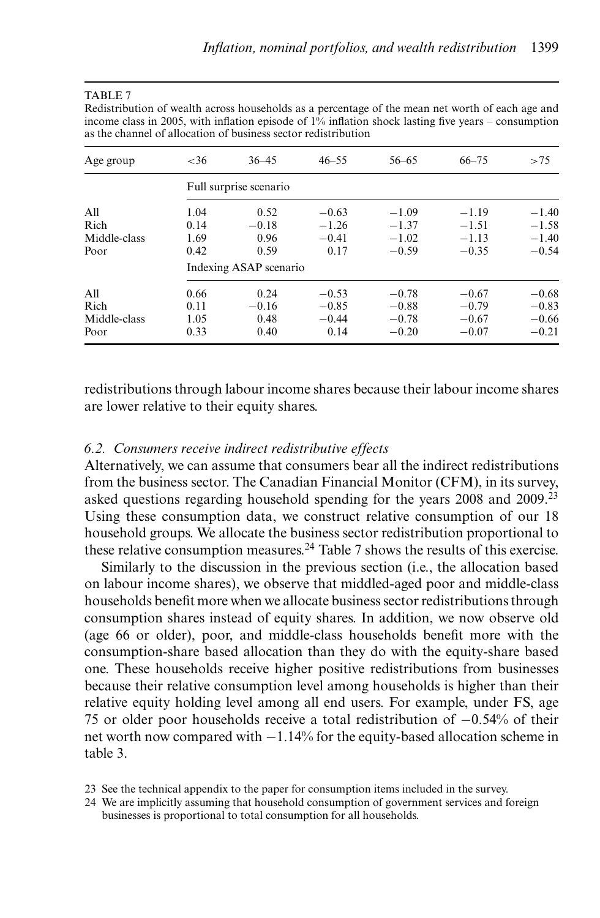| Age group    | <36  | $36 - 45$              | $46 - 55$ | $56 - 65$ | $66 - 75$ | >75     |  |  |  |
|--------------|------|------------------------|-----------|-----------|-----------|---------|--|--|--|
|              |      | Full surprise scenario |           |           |           |         |  |  |  |
| All          | 1.04 | 0.52                   | $-0.63$   | $-1.09$   | $-1.19$   | $-1.40$ |  |  |  |
| Rich         | 0.14 | $-0.18$                | $-1.26$   | $-1.37$   | $-1.51$   | $-1.58$ |  |  |  |
| Middle-class | 1.69 | 0.96                   | $-0.41$   | $-1.02$   | $-1.13$   | $-1.40$ |  |  |  |
| Poor         | 0.42 | 0.59                   | 0.17      | $-0.59$   | $-0.35$   | $-0.54$ |  |  |  |
|              |      | Indexing ASAP scenario |           |           |           |         |  |  |  |
| A11          | 0.66 | 0.24                   | $-0.53$   | $-0.78$   | $-0.67$   | $-0.68$ |  |  |  |
| Rich         | 0.11 | $-0.16$                | $-0.85$   | $-0.88$   | $-0.79$   | $-0.83$ |  |  |  |
| Middle-class | 1.05 | 0.48                   | $-0.44$   | $-0.78$   | $-0.67$   | $-0.66$ |  |  |  |
| Poor         | 0.33 | 0.40                   | 0.14      | $-0.20$   | $-0.07$   | $-0.21$ |  |  |  |

#### TABLE 7

Redistribution of wealth across households as a percentage of the mean net worth of each age and income class in 2005, with inflation episode of 1% inflation shock lasting five years – consumption as the channel of allocation of business sector redistribution

redistributions through labour income shares because their labour income shares are lower relative to their equity shares.

## *6.2. Consumers receive indirect redistributive effects*

Alternatively, we can assume that consumers bear all the indirect redistributions from the business sector. The Canadian Financial Monitor (CFM), in its survey, asked questions regarding household spending for the years 2008 and 2009.<sup>23</sup> Using these consumption data, we construct relative consumption of our 18 household groups. We allocate the business sector redistribution proportional to these relative consumption measures.<sup>24</sup> Table 7 shows the results of this exercise.

Similarly to the discussion in the previous section (i.e., the allocation based on labour income shares), we observe that middled-aged poor and middle-class households benefit more when we allocate business sector redistributions through consumption shares instead of equity shares. In addition, we now observe old (age 66 or older), poor, and middle-class households benefit more with the consumption-share based allocation than they do with the equity-share based one. These households receive higher positive redistributions from businesses because their relative consumption level among households is higher than their relative equity holding level among all end users. For example, under FS, age 75 or older poor households receive a total redistribution of −0.54% of their net worth now compared with  $-1.14%$  for the equity-based allocation scheme in table 3.

- 23 See the technical appendix to the paper for consumption items included in the survey.
- 24 We are implicitly assuming that household consumption of government services and foreign businesses is proportional to total consumption for all households.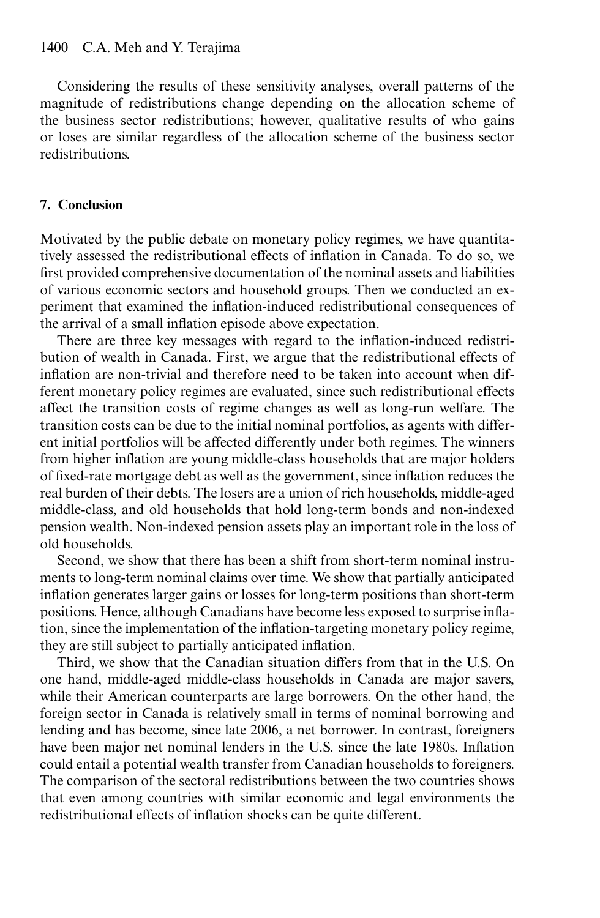Considering the results of these sensitivity analyses, overall patterns of the magnitude of redistributions change depending on the allocation scheme of the business sector redistributions; however, qualitative results of who gains or loses are similar regardless of the allocation scheme of the business sector redistributions.

#### **7. Conclusion**

Motivated by the public debate on monetary policy regimes, we have quantitatively assessed the redistributional effects of inflation in Canada. To do so, we first provided comprehensive documentation of the nominal assets and liabilities of various economic sectors and household groups. Then we conducted an experiment that examined the inflation-induced redistributional consequences of the arrival of a small inflation episode above expectation.

There are three key messages with regard to the inflation-induced redistribution of wealth in Canada. First, we argue that the redistributional effects of inflation are non-trivial and therefore need to be taken into account when different monetary policy regimes are evaluated, since such redistributional effects affect the transition costs of regime changes as well as long-run welfare. The transition costs can be due to the initial nominal portfolios, as agents with different initial portfolios will be affected differently under both regimes. The winners from higher inflation are young middle-class households that are major holders of fixed-rate mortgage debt as well as the government, since inflation reduces the real burden of their debts. The losers are a union of rich households, middle-aged middle-class, and old households that hold long-term bonds and non-indexed pension wealth. Non-indexed pension assets play an important role in the loss of old households.

Second, we show that there has been a shift from short-term nominal instruments to long-term nominal claims over time. We show that partially anticipated inflation generates larger gains or losses for long-term positions than short-term positions. Hence, although Canadians have become less exposed to surprise inflation, since the implementation of the inflation-targeting monetary policy regime, they are still subject to partially anticipated inflation.

Third, we show that the Canadian situation differs from that in the U.S. On one hand, middle-aged middle-class households in Canada are major savers, while their American counterparts are large borrowers. On the other hand, the foreign sector in Canada is relatively small in terms of nominal borrowing and lending and has become, since late 2006, a net borrower. In contrast, foreigners have been major net nominal lenders in the U.S. since the late 1980s. Inflation could entail a potential wealth transfer from Canadian households to foreigners. The comparison of the sectoral redistributions between the two countries shows that even among countries with similar economic and legal environments the redistributional effects of inflation shocks can be quite different.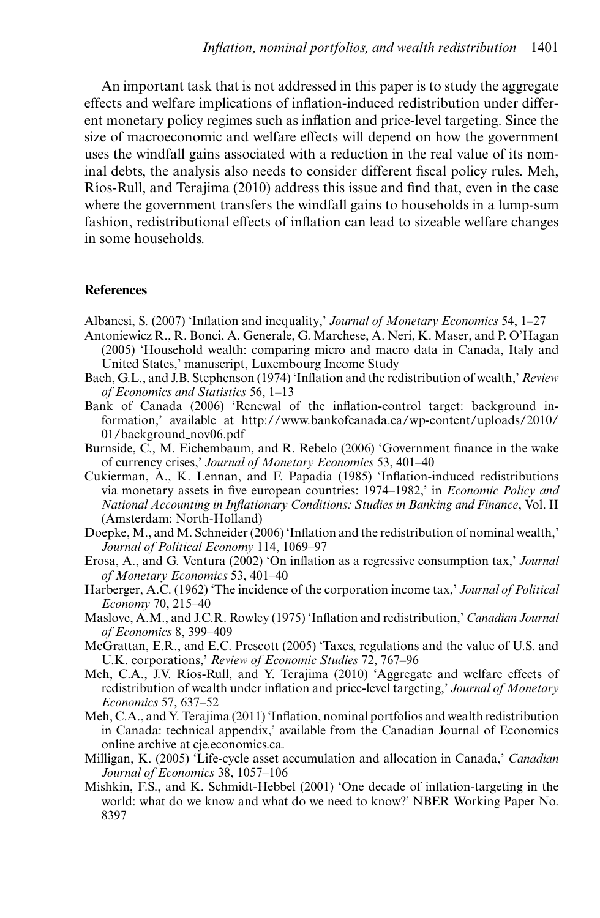An important task that is not addressed in this paper is to study the aggregate effects and welfare implications of inflation-induced redistribution under different monetary policy regimes such as inflation and price-level targeting. Since the size of macroeconomic and welfare effects will depend on how the government uses the windfall gains associated with a reduction in the real value of its nominal debts, the analysis also needs to consider different fiscal policy rules. Meh, Ríos-Rull, and Terajima (2010) address this issue and find that, even in the case where the government transfers the windfall gains to households in a lump-sum fashion, redistributional effects of inflation can lead to sizeable welfare changes in some households.

#### **References**

- Albanesi, S. (2007) 'Inflation and inequality,' *Journal of Monetary Economics* 54, 1–27
- Antoniewicz R., R. Bonci, A. Generale, G. Marchese, A. Neri, K. Maser, and P. O'Hagan (2005) 'Household wealth: comparing micro and macro data in Canada, Italy and United States,' manuscript, Luxembourg Income Study
- Bach, G.L., and J.B. Stephenson (1974) 'Inflation and the redistribution of wealth,' *Review of Economics and Statistics* 56, 1–13
- Bank of Canada (2006) 'Renewal of the inflation-control target: background information,' available at http://www.bankofcanada.ca/wp-content/uploads/2010/ 01/background nov06.pdf
- Burnside, C., M. Eichembaum, and R. Rebelo (2006) 'Government finance in the wake of currency crises,' *Journal of Monetary Economics* 53, 401–40
- Cukierman, A., K. Lennan, and F. Papadia (1985) 'Inflation-induced redistributions via monetary assets in five european countries: 1974–1982,' in *Economic Policy and National Accounting in Inflationary Conditions: Studies in Banking and Finance*, Vol. II (Amsterdam: North-Holland)
- Doepke, M., and M. Schneider (2006) 'Inflation and the redistribution of nominal wealth,' *Journal of Political Economy* 114, 1069–97
- Erosa, A., and G. Ventura (2002) 'On inflation as a regressive consumption tax,' *Journal of Monetary Economics* 53, 401–40
- Harberger, A.C. (1962) 'The incidence of the corporation income tax,' *Journal of Political Economy* 70, 215–40
- Maslove, A.M., and J.C.R. Rowley (1975) 'Inflation and redistribution,' *Canadian Journal of Economics* 8, 399–409
- McGrattan, E.R., and E.C. Prescott (2005) 'Taxes, regulations and the value of U.S. and U.K. corporations,' *Review of Economic Studies* 72, 767–96
- Meh, C.A., J.V. Ríos-Rull, and Y. Terajima (2010) 'Aggregate and welfare effects of redistribution of wealth under inflation and price-level targeting,' *Journal of Monetary Economics* 57, 637–52
- Meh, C.A., and Y. Terajima (2011) 'Inflation, nominal portfolios and wealth redistribution in Canada: technical appendix,' available from the Canadian Journal of Economics online archive at cje.economics.ca.
- Milligan, K. (2005) 'Life-cycle asset accumulation and allocation in Canada,' *Canadian Journal of Economics* 38, 1057–106
- Mishkin, F.S., and K. Schmidt-Hebbel (2001) 'One decade of inflation-targeting in the world: what do we know and what do we need to know?' NBER Working Paper No. 8397